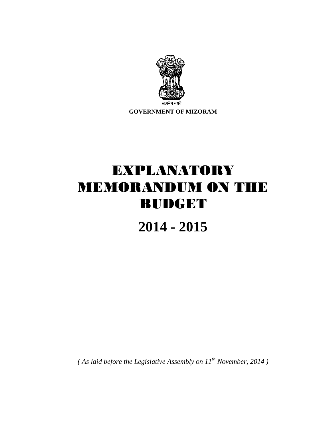

**GOVERNMENT OF MIZORAM** 

# EXPLANATORY MEMORANDUM ON THE BUDGET

**2014 - 2015** 

*( As laid before the Legislative Assembly on 11th November, 2014 )*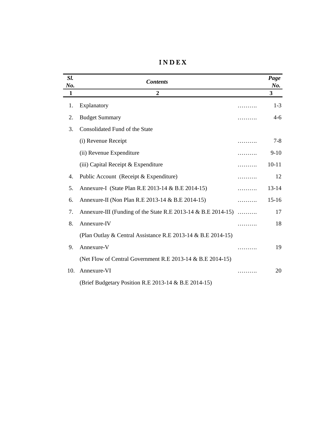I N D E X

| Sl.<br>No. | <b>Contents</b>                                               |   | Page<br>No. |
|------------|---------------------------------------------------------------|---|-------------|
| 1          | $\overline{2}$                                                |   | 3           |
| 1.         | Explanatory                                                   |   | $1-3$       |
| 2.         | <b>Budget Summary</b>                                         |   | $4-6$       |
| 3.         | Consolidated Fund of the State                                |   |             |
|            | (i) Revenue Receipt                                           | . | $7 - 8$     |
|            | (ii) Revenue Expenditure                                      |   | $9-10$      |
|            | (iii) Capital Receipt & Expenditure                           |   | $10 - 11$   |
| 4.         | Public Account (Receipt & Expenditure)                        |   | 12          |
| 5.         | Annexure-I (State Plan R.E 2013-14 & B.E 2014-15)             |   | 13-14       |
| 6.         | Annexure-II (Non Plan R.E 2013-14 & B.E 2014-15)              | . | $15 - 16$   |
| 7.         | Annexure-III (Funding of the State R.E 2013-14 & B.E 2014-15) | . | 17          |
| 8.         | Annexure-IV                                                   |   | 18          |
|            | (Plan Outlay & Central Assistance R.E 2013-14 & B.E 2014-15)  |   |             |
| 9.         | Annexure-V                                                    | . | 19          |
|            | (Net Flow of Central Government R.E 2013-14 $&$ B.E 2014-15)  |   |             |
| 10.        | Annexure-VI                                                   | . | 20          |
|            | (Brief Budgetary Position R.E 2013-14 & B.E 2014-15)          |   |             |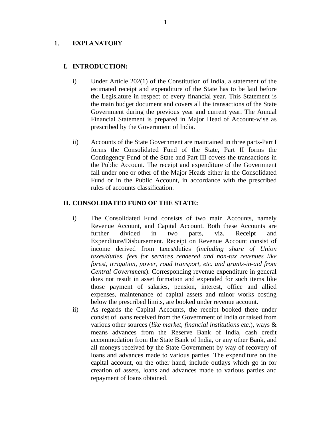# 1. EXPLANATORY -

# **I. INTRODUCTION:**

- i) Under Article 202(1) of the Constitution of India, a statement of the estimated receipt and expenditure of the State has to be laid before the Legislature in respect of every financial year. This Statement is the main budget document and covers all the transactions of the State Government during the previous year and current year. The Annual Financial Statement is prepared in Major Head of Account-wise as prescribed by the Government of India.
- ii) Accounts of the State Government are maintained in three parts-Part I forms the Consolidated Fund of the State, Part II forms the Contingency Fund of the State and Part III covers the transactions in the Public Account. The receipt and expenditure of the Government fall under one or other of the Major Heads either in the Consolidated Fund or in the Public Account, in accordance with the prescribed rules of accounts classification.

# **II. CONSOLIDATED FUND OF THE STATE:**

- i) The Consolidated Fund consists of two main Accounts, namely Revenue Account, and Capital Account. Both these Accounts are further divided in two parts, viz. Receipt and Expenditure/Disbursement. Receipt on Revenue Account consist of income derived from taxes/duties (*including share of Union taxes/duties, fees for services rendered and non-tax revenues like forest, irrigation, power, road transport, etc. and grants-in-aid from Central Government*). Corresponding revenue expenditure in general does not result in asset formation and expended for such items like those payment of salaries, pension, interest, office and allied expenses, maintenance of capital assets and minor works costing below the prescribed limits, are booked under revenue account.
- ii) As regards the Capital Accounts, the receipt booked there under consist of loans received from the Government of India or raised from various other sources (*like market, financial institutions etc*.), ways & means advances from the Reserve Bank of India, cash credit accommodation from the State Bank of India, or any other Bank, and all moneys received by the State Government by way of recovery of loans and advances made to various parties. The expenditure on the capital account, on the other hand, include outlays which go in for creation of assets, loans and advances made to various parties and repayment of loans obtained.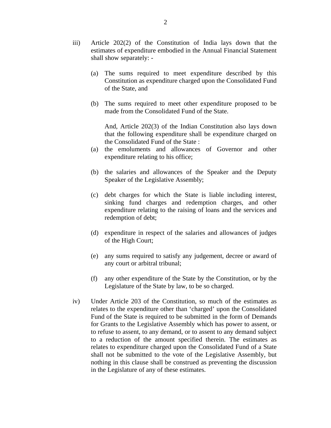- iii) Article 202(2) of the Constitution of India lays down that the estimates of expenditure embodied in the Annual Financial Statement shall show separately: -
	- (a) The sums required to meet expenditure described by this Constitution as expenditure charged upon the Consolidated Fund of the State, and
	- (b) The sums required to meet other expenditure proposed to be made from the Consolidated Fund of the State.

 And, Article 202(3) of the Indian Constitution also lays down that the following expenditure shall be expenditure charged on the Consolidated Fund of the State :

- (a) the emoluments and allowances of Governor and other expenditure relating to his office;
- (b) the salaries and allowances of the Speaker and the Deputy Speaker of the Legislative Assembly;
- (c) debt charges for which the State is liable including interest, sinking fund charges and redemption charges, and other expenditure relating to the raising of loans and the services and redemption of debt;
- (d) expenditure in respect of the salaries and allowances of judges of the High Court;
- (e) any sums required to satisfy any judgement, decree or award of any court or arbitral tribunal;
- (f) any other expenditure of the State by the Constitution, or by the Legislature of the State by law, to be so charged.
- iv) Under Article 203 of the Constitution, so much of the estimates as relates to the expenditure other than 'charged' upon the Consolidated Fund of the State is required to be submitted in the form of Demands for Grants to the Legislative Assembly which has power to assent, or to refuse to assent, to any demand, or to assent to any demand subject to a reduction of the amount specified therein. The estimates as relates to expenditure charged upon the Consolidated Fund of a State shall not be submitted to the vote of the Legislative Assembly, but nothing in this clause shall be construed as preventing the discussion in the Legislature of any of these estimates.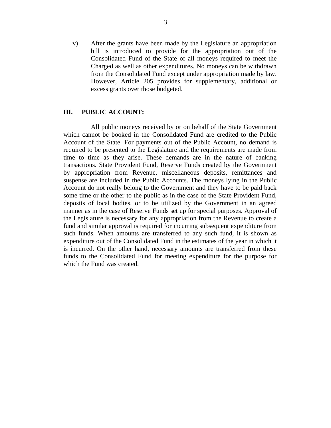v) After the grants have been made by the Legislature an appropriation bill is introduced to provide for the appropriation out of the Consolidated Fund of the State of all moneys required to meet the Charged as well as other expenditures. No moneys can be withdrawn from the Consolidated Fund except under appropriation made by law. However, Article 205 provides for supplementary, additional or excess grants over those budgeted.

#### **III. PUBLIC ACCOUNT:**

 All public moneys received by or on behalf of the State Government which cannot be booked in the Consolidated Fund are credited to the Public Account of the State. For payments out of the Public Account, no demand is required to be presented to the Legislature and the requirements are made from time to time as they arise. These demands are in the nature of banking transactions. State Provident Fund, Reserve Funds created by the Government by appropriation from Revenue, miscellaneous deposits, remittances and suspense are included in the Public Accounts. The moneys lying in the Public Account do not really belong to the Government and they have to be paid back some time or the other to the public as in the case of the State Provident Fund, deposits of local bodies, or to be utilized by the Government in an agreed manner as in the case of Reserve Funds set up for special purposes. Approval of the Legislature is necessary for any appropriation from the Revenue to create a fund and similar approval is required for incurring subsequent expenditure from such funds. When amounts are transferred to any such fund, it is shown as expenditure out of the Consolidated Fund in the estimates of the year in which it is incurred. On the other hand, necessary amounts are transferred from these funds to the Consolidated Fund for meeting expenditure for the purpose for which the Fund was created.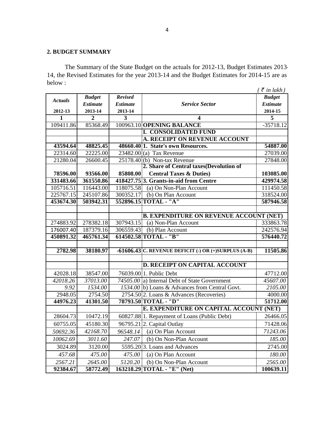# **2. BUDGET SUMMARY**

 $\overline{f}$  *in lakh*  $\overline{f}$ The Summary of the State Budget on the actuals for 2012-13, Budget Estimates 2013- 14, the Revised Estimates for the year 2013-14 and the Budget Estimates for 2014-15 are as below :

|                |                 |                 |                                                               | (Kiniakh)       |
|----------------|-----------------|-----------------|---------------------------------------------------------------|-----------------|
| <b>Actuals</b> | <b>Budget</b>   | <b>Revised</b>  |                                                               | <b>Budget</b>   |
|                | <b>Estimate</b> | <b>Estimate</b> | <b>Service Sector</b>                                         | <b>Estimate</b> |
| 2012-13        | 2013-14         | 2013-14         |                                                               | 2014-15         |
| $\mathbf{1}$   | $\overline{2}$  | $\overline{3}$  | 4                                                             | $\overline{5}$  |
| 109411.86      | 85368.49        |                 | 100963.10 OPENING BALANCE                                     | $-35718.12$     |
|                |                 |                 | <b>I. CONSOLIDATED FUND</b>                                   |                 |
|                |                 |                 | <b>A. RECEIPT ON REVENUE ACCOUNT</b>                          |                 |
| 43594.64       | 48825.45        |                 | 48660.40 1. State's own Resources.                            | 54887.00        |
| 22314.60       | 22225.00        |                 | $23482.00$ (a) Tax Revenue                                    | 27039.00        |
| 21280.04       | 26600.45        |                 | $25178.40$ (b) Non-tax Revenue                                | 27848.00        |
|                |                 |                 | 2. Share of Central taxes(Devolution of                       |                 |
| 78596.00       | 93566.00        | 85808.00        | <b>Central Taxes &amp; Duties)</b>                            | 103085.00       |
| 331483.66      | 361550.86       |                 | 418427.75 3. Grants-in-aid from Centre                        | 429974.58       |
| 105716.51      | 116443.00       |                 | 118075.58 (a) On Non-Plan Account                             | 111450.58       |
| 225767.15      | 245107.86       | 300352.17       | (b) On Plan Account                                           | 318524.00       |
| 453674.30      | 503942.31       |                 | 552896.15 TOTAL - "A"                                         | 587946.58       |
|                |                 |                 |                                                               |                 |
|                |                 |                 | <b>B. EXPENDITURE ON REVENUE ACCOUNT (NET)</b>                |                 |
| 274883.92      | 278382.18       |                 | 307943.15 (a) Non-Plan Account                                | 333863.78       |
| 176007.40      | 187379.16       |                 | 306559.43 (b) Plan Account                                    | 242576.94       |
| 450891.32      | 465761.34       |                 | 614502.58 TOTAL - "B"                                         | 576440.72       |
|                |                 |                 |                                                               |                 |
| 2782.98        | 38180.97        |                 | $-61606.43$ C. REVENUE DEFICIT $(-)$ OR $(+)$ SURPLUS $(A-B)$ | 11505.86        |
|                |                 |                 |                                                               |                 |
|                |                 |                 | <b>D. RECEIPT ON CAPITAL ACCOUNT</b>                          |                 |
| 42028.18       | 38547.00        |                 | 76039.00 1. Public Debt                                       | 47712.00        |
| 42018.26       | 37013.00        |                 | 74505.00 a) Internal Debt of State Government                 | 45607.00        |
| 9.92           | 1534.00         |                 | 1534.00 b) Loans & Advances from Central Govt.                | 2105.00         |
| 2948.05        | 2754.50         |                 | 2754.50 2. Loans & Advances (Recoveries)                      | 4000.00         |
| 44976.23       | 41301.50        |                 | 78793.50 TOTAL - "D"                                          | 51712.00        |
|                |                 |                 | E. EXPENDITURE ON CAPITAL ACCOUNT (NET)                       |                 |
| 28604.73       | 10472.19        |                 | 60827.88 1. Repayment of Loans (Public Debt)                  | 26466.05        |
| 60755.05       | 45180.30        |                 | 96795.21 2. Capital Outlay                                    | 71428.06        |
| 50692.36       | 42168.70        | 96548.14        | (a) On Plan Account                                           | 71243.06        |
| 10062.69       | 3011.60         | 247.07          | (b) On Non-Plan Account                                       | 185.00          |
| 3024.89        | 3120.00         |                 | 5595.20 3. Loans and Advances                                 | 2745.00         |
| 457.68         | 475.00          | 475.00          | (a) On Plan Account                                           | 180.00          |
| 2567.21        | 2645.00         | 5120.20         | (b) On Non-Plan Account                                       | 2565.00         |
| 92384.67       | 58772.49        |                 | 163218.29 TOTAL - "E" (Net)                                   | 100639.11       |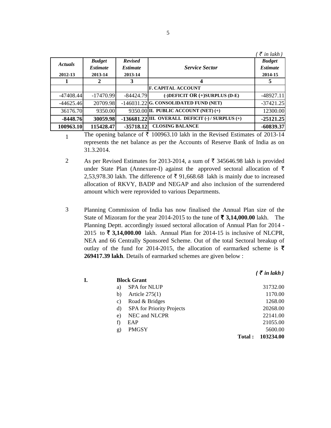|                |                        |                        |                                                   | ₹ in lakh)      |
|----------------|------------------------|------------------------|---------------------------------------------------|-----------------|
| <b>Actuals</b> | <b>Budget</b>          | <b>Revised</b>         |                                                   | <b>Budget</b>   |
|                | <i><b>Estimate</b></i> | <i><b>Estimate</b></i> | <b>Service Sector</b>                             | <b>Estimate</b> |
| 2012-13        | 2013-14                | 2013-14                |                                                   | 2014-15         |
|                | 2                      | 3                      | 4                                                 | 5               |
|                |                        |                        | <b>F. CAPITAL ACCOUNT</b>                         |                 |
| -47408.44      | $-17470.99$            | $-84424.79$            | $(-)$ DEFICIT OR $(+)$ SURPLUS (D-E)              | $-48927.11$     |
| $-44625.46$    | 20709.98               |                        | $-146031.22$ G. CONSOLIDATED FUND (NET)           | $-37421.25$     |
| 36176.70       | 9350.00                |                        | $9350.00$ II. PUBLIC ACCOUNT (NET) (+)            | 12300.00        |
| $-8448.76$     | 30059.98               |                        | -136681.22 III. OVERALL DEFICIT (-) / SURPLUS (+) | $-25121.25$     |
| 100963.10      | 115428.47              | $-35718.12$            | <b>CLOSING BALANCE</b>                            | $-60839.37$     |

1 The opening balance of  $\bar{\tau}$  100963.10 lakh in the Revised Estimates of 2013-14 represents the net balance as per the Accounts of Reserve Bank of India as on 31.3.2014.

2 As per Revised Estimates for 2013-2014, a sum of  $\bar{\tau}$  345646.98 lakh is provided under State Plan (Annexure-I) against the approved sectoral allocation of  $\bar{\tau}$ 2,53,978.30 lakh. The difference of  $\bar{\tau}$  91,668.68 lakh is mainly due to increased allocation of RKVY, BADP and NEGAP and also inclusion of the surrendered amount which were reprovided to various Departments.

3 Planning Commission of India has now finalised the Annual Plan size of the State of Mizoram for the year 2014-2015 to the tune of  $\bar{\tau}$  3,14,000.00 lakh. The Planning Deptt. accordingly issued sectoral allocation of Annual Plan for 2014 - 2015 to ₹ 3,14,000.00 lakh. Annual Plan for 2014-15 is inclusive of NLCPR, NEA and 66 Centrally Sponsored Scheme. Out of the total Sectoral breakup of outlay of the fund for 2014-2015, the allocation of earmarked scheme is  $\bar{\tau}$ **269417.39 lakh**. Details of earmarked schemes are given below :

|    |                                 |               | 1 \ <i>u</i> unu j |
|----|---------------------------------|---------------|--------------------|
| I. | <b>Block Grant</b>              |               |                    |
|    | <b>SPA for NLUP</b><br>a)       |               | 31732.00           |
|    | Article $275(1)$<br>b)          |               | 1170.00            |
|    | Road & Bridges<br>C)            |               | 1268.00            |
|    | SPA for Priority Projects<br>d) |               | 20268.00           |
|    | NEC and NLCPR<br>e)             |               | 22141.00           |
|    | EAP<br>f)                       |               | 21055.00           |
|    | <b>PMGSY</b><br>g)              |               | 5600.00            |
|    |                                 | <b>Total:</b> | 103234.00          |
|    |                                 |               |                    |

 $($   $\overline{f}$   $\overline{f}$   $\overline{f}$   $\overline{f}$   $\overline{f}$   $\overline{f}$   $\overline{f}$   $\overline{f}$   $\overline{f}$   $\overline{f}$   $\overline{f}$   $\overline{f}$   $\overline{f}$   $\overline{f}$   $\overline{f}$   $\overline{f}$   $\overline{f}$   $\overline{f}$   $\overline{f}$   $\overline{f}$   $\overline{f}$   $\overline{f}$   $\overline{f}$   $\overline{f}$ 

5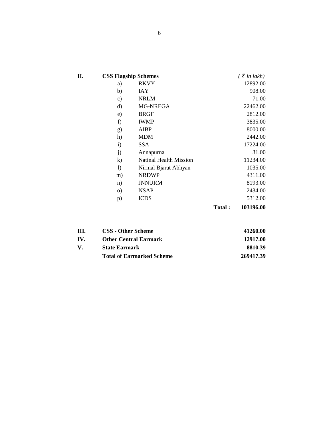| П. | <b>CSS Flagship Schemes</b> |                               |        | $\zeta$ $\bar{\zeta}$ in lakh) |
|----|-----------------------------|-------------------------------|--------|--------------------------------|
|    | a)                          | <b>RKVY</b>                   |        | 12892.00                       |
|    | b)                          | <b>IAY</b>                    |        | 908.00                         |
|    | $\mathbf{c})$               | <b>NRLM</b>                   |        | 71.00                          |
|    | d)                          | MG-NREGA                      |        | 22462.00                       |
|    | e)                          | <b>BRGF</b>                   |        | 2812.00                        |
|    | f)                          | <b>IWMP</b>                   |        | 3835.00                        |
|    | g)                          | <b>AIBP</b>                   |        | 8000.00                        |
|    | h)                          | <b>MDM</b>                    |        | 2442.00                        |
|    | $\mathbf{i}$                | <b>SSA</b>                    |        | 17224.00                       |
|    | j)                          | Annapurna                     |        | 31.00                          |
|    | $\mathbf{k}$                | <b>Natinal Health Mission</b> |        | 11234.00                       |
|    | $\left( \right)$            | Nirmal Bjarat Abhyan          |        | 1035.00                        |
|    | m)                          | <b>NRDWP</b>                  |        | 4311.00                        |
|    | n)                          | <b>JNNURM</b>                 |        | 8193.00                        |
|    | $\circ$ )                   | <b>NSAP</b>                   |        | 2434.00                        |
|    | $\mathbf{p}$ )              | <b>ICDS</b>                   |        | 5312.00                        |
|    |                             |                               | Total: | 103196.00                      |

| HI.          | <b>CSS</b> - Other Scheme        | 41260.00  |
|--------------|----------------------------------|-----------|
| IV.          | <b>Other Central Earmark</b>     | 12917.00  |
| $\mathbf{V}$ | <b>State Earmark</b>             | 8810.39   |
|              | <b>Total of Earmarked Scheme</b> | 269417.39 |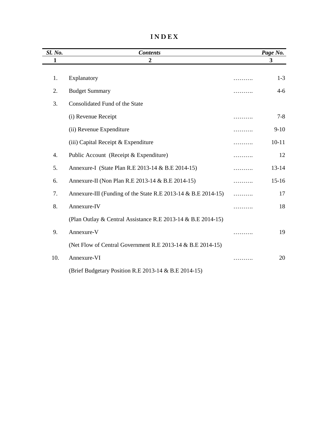| Sl. No. | <b>Contents</b>                                               |   |           |  |  |  |
|---------|---------------------------------------------------------------|---|-----------|--|--|--|
| 1       | $\overline{2}$                                                |   | 3         |  |  |  |
| 1.      | Explanatory                                                   |   | $1-3$     |  |  |  |
| 2.      | <b>Budget Summary</b>                                         |   | $4 - 6$   |  |  |  |
| 3.      | Consolidated Fund of the State                                |   |           |  |  |  |
|         | (i) Revenue Receipt                                           |   | $7 - 8$   |  |  |  |
|         | (ii) Revenue Expenditure                                      |   | $9 - 10$  |  |  |  |
|         | (iii) Capital Receipt & Expenditure                           | . | $10 - 11$ |  |  |  |
| 4.      | Public Account (Receipt & Expenditure)                        | . | 12        |  |  |  |
| 5.      | Annexure-I (State Plan R.E 2013-14 & B.E 2014-15)             | . | $13 - 14$ |  |  |  |
| 6.      | Annexure-II (Non Plan R.E 2013-14 & B.E 2014-15)              | . | $15 - 16$ |  |  |  |
| 7.      | Annexure-III (Funding of the State R.E 2013-14 & B.E 2014-15) | . | 17        |  |  |  |
| 8.      | Annexure-IV                                                   |   | 18        |  |  |  |
|         | (Plan Outlay & Central Assistance R.E 2013-14 & B.E 2014-15)  |   |           |  |  |  |
| 9.      | Annexure-V                                                    |   | 19        |  |  |  |
|         | (Net Flow of Central Government R.E 2013-14 & B.E 2014-15)    |   |           |  |  |  |
| 10.     | Annexure-VI                                                   |   | 20        |  |  |  |
|         | (Brief Budgetary Position R.E 2013-14 & B.E 2014-15)          |   |           |  |  |  |

I N D E X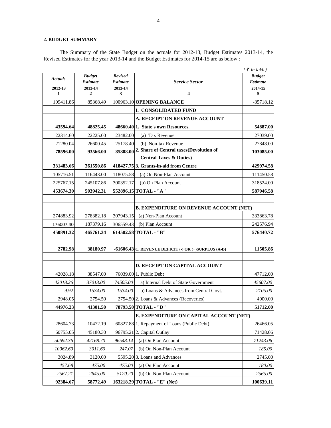#### **2. BUDGET SUMMARY**

The Summary of the State Budget on the actuals for 2012-13, Budget Estimates 2013-14, the Revised Estimates for the year 2013-14 and the Budget Estimates for 2014-15 are as below :

|                |                 |                        |                                                                              | $\zeta$ $\bar{\zeta}$ in lakh $\zeta$ |
|----------------|-----------------|------------------------|------------------------------------------------------------------------------|---------------------------------------|
| <b>Actuals</b> | <b>Budget</b>   | <b>Revised</b>         |                                                                              | <b>Budget</b>                         |
|                | <b>Estimate</b> | <i><b>Estimate</b></i> | <b>Service Sector</b>                                                        | <b>Estimate</b>                       |
| 2012-13<br>1   | 2013-14<br>2    | 2013-14<br>3           | 4                                                                            | 2014-15<br>5                          |
| 109411.86      | 85368.49        |                        | 100963.10 OPENING BALANCE                                                    | -35718.12                             |
|                |                 |                        | I. CONSOLIDATED FUND                                                         |                                       |
|                |                 |                        | A. RECEIPT ON REVENUE ACCOUNT                                                |                                       |
| 43594.64       | 48825.45        |                        | 48660.40 1. State's own Resources.                                           | 54887.00                              |
| 22314.60       | 22225.00        | 23482.00               | (a) Tax Revenue                                                              | 27039.00                              |
| 21280.04       | 26600.45        | 25178.40               | (b) Non-tax Revenue                                                          | 27848.00                              |
| 78596.00       | 93566.00        |                        | 85808.00 2. Share of Central taxes Devolution of                             | 103085.00                             |
|                |                 |                        | <b>Central Taxes &amp; Duties)</b>                                           |                                       |
| 331483.66      | 361550.86       |                        | 418427.75 3. Grants-in-aid from Centre                                       | 429974.58                             |
| 105716.51      | 116443.00       | 118075.58              | (a) On Non-Plan Account                                                      | 111450.58                             |
| 225767.15      | 245107.86       | 300352.17              | (b) On Plan Account                                                          | 318524.00                             |
| 453674.30      | 503942.31       |                        | 552896.15 TOTAL - "A"                                                        | 587946.58                             |
|                |                 |                        |                                                                              |                                       |
|                |                 |                        | <b>B. EXPENDITURE ON REVENUE ACCOUNT (NET)</b>                               |                                       |
| 274883.92      | 278382.18       | 307943.15              | (a) Non-Plan Account                                                         | 333863.78                             |
| 176007.40      | 187379.16       |                        | 306559.43 (b) Plan Account                                                   | 242576.94                             |
| 450891.32      | 465761.34       |                        | 614502.58 TOTAL - "B"                                                        | 576440.72                             |
|                |                 |                        |                                                                              |                                       |
| 2782.98        | 38180.97        |                        | $-61606.43$ C. REVENUE DEFICIT $\left(\cdot\right)$ OR $(+)$ SURPLUS $(A-B)$ | 11505.86                              |
|                |                 |                        |                                                                              |                                       |
|                |                 |                        | <b>D. RECEIPT ON CAPITAL ACCOUNT</b>                                         |                                       |
| 42028.18       | 38547.00        |                        | 76039.00 1. Public Debt                                                      | 47712.00                              |
| 42018.26       | 37013.00        | 74505.00               | a) Internal Debt of State Government                                         | 45607.00                              |
| 9.92           | 1534.00         | 1534.00                | b) Loans & Advances from Central Govt.                                       | 2105.00                               |
| 2948.05        | 2754.50         |                        | 2754.50 2. Loans & Advances (Recoveries)                                     | 4000.00                               |
| 44976.23       | 41301.50        |                        | 78793.50 TOTAL - "D"                                                         | 51712.00                              |
|                |                 |                        | E. EXPENDITURE ON CAPITAL ACCOUNT (NET)                                      |                                       |
| 28604.73       | 10472.19        |                        | 60827.88 1. Repayment of Loans (Public Debt)                                 | 26466.05                              |
| 60755.05       | 45180.30        |                        | 96795.21 2. Capital Outlay                                                   | 71428.06                              |
| 50692.36       | 42168.70        | 96548.14               | (a) On Plan Account                                                          | 71243.06                              |
| 10062.69       | 3011.60         | 247.07                 | (b) On Non-Plan Account                                                      | 185.00                                |
| 3024.89        | 3120.00         |                        | 5595.20 3. Loans and Advances                                                | 2745.00                               |
| 457.68         | 475.00          | 475.00                 | (a) On Plan Account                                                          | 180.00                                |
| 2567.21        | 2645.00         | 5120.20                | (b) On Non-Plan Account                                                      | 2565.00                               |
| 92384.67       | 58772.49        |                        | 163218.29 TOTAL - "E" (Net)                                                  | 100639.11                             |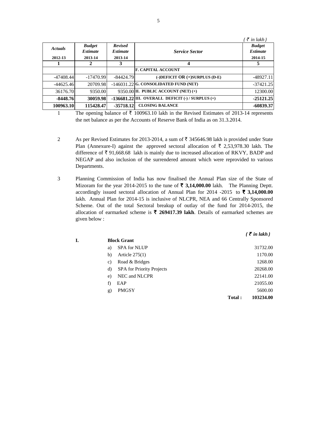|  |  |  | $\bar{\tau}$ in lakh) |  |
|--|--|--|-----------------------|--|
|--|--|--|-----------------------|--|

| <b>Actuals</b> | <b>Budget</b>          | <b>Revised</b>         |                                                                                       | <b>Budget</b>   |
|----------------|------------------------|------------------------|---------------------------------------------------------------------------------------|-----------------|
|                | <i><b>Estimate</b></i> | <i><b>Estimate</b></i> | <b>Service Sector</b>                                                                 | <b>Estimate</b> |
| 2012-13        | 2013-14                | 2013-14                |                                                                                       | 2014-15         |
|                |                        |                        |                                                                                       | 5               |
|                |                        |                        | <b>F. CAPITAL ACCOUNT</b>                                                             |                 |
| $-47408.44$    | $-17470.99$            | $-84424.79$            | $(-)$ DEFICIT OR $(+)$ SURPLUS (D-E)                                                  | $-48927.11$     |
| $-44625.46$    | 20709.98               |                        | $-146031.22$ G. CONSOLIDATED FUND (NET)                                               | $-37421.25$     |
| 36176.70       | 9350.00                |                        | 9350.00 II. PUBLIC ACCOUNT (NET) $(+)$                                                | 12300.00        |
| $-8448.76$     | 30059.98               |                        | $-136681.22$ III. OVERALL DEFICIT $\left(\cdot\right)$ / SURPLUS $\left(\cdot\right)$ | $-25121.25$     |
| 100963.10      | 115428.47              | $-35718.12$            | <b>CLOSING BALANCE</b>                                                                | $-60839.37$     |

1 The opening balance of  $\bar{\tau}$  100963.10 lakh in the Revised Estimates of 2013-14 represents the net balance as per the Accounts of Reserve Bank of India as on 31.3.2014.

- 2 As per Revised Estimates for 2013-2014, a sum of  $\bar{\tau}$  345646.98 lakh is provided under State Plan (Annexure-I) against the approved sectoral allocation of  $\bar{\tau}$  2,53,978.30 lakh. The difference of  $\bar{\tau}$  91,668.68 lakh is mainly due to increased allocation of RKVY, BADP and NEGAP and also inclusion of the surrendered amount which were reprovided to various Departments.
- 3 Planning Commission of India has now finalised the Annual Plan size of the State of Mizoram for the year 2014-2015 to the tune of  $\bar{\tau}$  3,14,000.00 lakh. The Planning Deptt. accordingly issued sectoral allocation of Annual Plan for  $2014 - 2015$  to  $\overline{\phantom{0}}\$  3,14,000.00 lakh. Annual Plan for 2014-15 is inclusive of NLCPR, NEA and 66 Centrally Sponsored Scheme. Out of the total Sectoral breakup of outlay of the fund for 2014-2015, the allocation of earmarked scheme is  $\bar{\tau}$  269417.39 lakh. Details of earmarked schemes are given below :

|    |                                        |        | $\zeta$ in lakh $\zeta$ |
|----|----------------------------------------|--------|-------------------------|
| I. | <b>Block Grant</b>                     |        |                         |
|    | SPA for NLUP<br>a)                     |        | 31732.00                |
|    | Article $275(1)$<br>b)                 |        | 1170.00                 |
|    | Road & Bridges<br>c)                   |        | 1268.00                 |
|    | <b>SPA</b> for Priority Projects<br>d) |        | 20268.00                |
|    | NEC and NLCPR<br>e)                    |        | 22141.00                |
|    | EAP<br>f)                              |        | 21055.00                |
|    | <b>PMGSY</b><br>g)                     |        | 5600.00                 |
|    |                                        | Total: | 103234.00               |
|    |                                        |        |                         |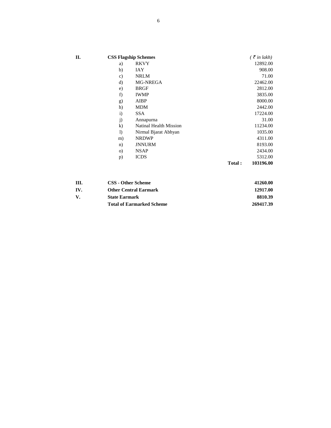| Н. |               | <b>CSS Flagship Schemes</b> | $($ ₹ in lakh $)$ |
|----|---------------|-----------------------------|-------------------|
|    | a)            | <b>RKVY</b>                 | 12892.00          |
|    | b)            | <b>IAY</b>                  | 908.00            |
|    | $\mathbf{c})$ | <b>NRLM</b>                 | 71.00             |
|    | d)            | MG-NREGA                    | 22462.00          |
|    | $\epsilon$ )  | <b>BRGF</b>                 | 2812.00           |
|    | f)            | <b>IWMP</b>                 | 3835.00           |
|    | g)            | AIBP                        | 8000.00           |
|    | h)            | <b>MDM</b>                  | 2442.00           |
|    | $\mathbf{i}$  | <b>SSA</b>                  | 17224.00          |
|    | j)            | Annapurna                   | 31.00             |
|    | $\bf k)$      | Natinal Health Mission      | 11234.00          |
|    | $\mathbf{I}$  | Nirmal Bjarat Abhyan        | 1035.00           |
|    | m)            | <b>NRDWP</b>                | 4311.00           |
|    | n)            | <b>JNNURM</b>               | 8193.00           |
|    | $\circ$ )     | <b>NSAP</b>                 | 2434.00           |
|    | p)            | <b>ICDS</b>                 | 5312.00           |

6

**Total : 103196.00**

| HI. | <b>CSS - Other Scheme</b>        | 41260.00  |
|-----|----------------------------------|-----------|
| IV. | <b>Other Central Earmark</b>     | 12917.00  |
| V.  | <b>State Earmark</b>             | 8810.39   |
|     | <b>Total of Earmarked Scheme</b> | 269417.39 |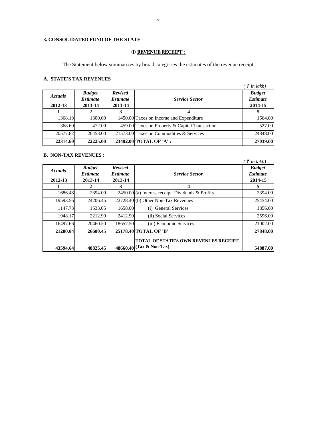# **3. CONSOLIDATED FUND OF THE STATE**

#### (I) REVENUE RECEIPT : (I) REVENUE RECEIPT :

The Statement below summarizes by broad categories the estimates of the revenue receipt:

### **A. STATE'S TAX REVENUES**

|                |                 |                        |                                                | (₹in lakh)      |
|----------------|-----------------|------------------------|------------------------------------------------|-----------------|
| <b>Actuals</b> | <b>Budget</b>   | <b>Revised</b>         |                                                | <b>Budget</b>   |
|                | <b>Estimate</b> | <i><b>Estimate</b></i> | <b>Service Sector</b>                          | <b>Estimate</b> |
| 2012-13        | 2013-14         | 2013-14                |                                                | 2014-15         |
|                |                 |                        |                                                |                 |
| 1368.18        | 1300.00         |                        | 1450.00 Taxes on Income and Expenditure        | 1664.00         |
| 368.60         | 472.00          |                        | 459.00 Taxes on Property & Capital Transaction | 527.00          |
| 20577.82       | 20453.00        |                        | 21573.00 Taxes on Commodities & Services       | 24848.00        |
| 22314.60       | 22225.00        |                        | 23482.00 TOTAL OF 'A':                         | 27039.00        |

# **B. NON-TAX REVENUES** :

|                           |                                                    |                                                     |                                                                          | $\langle$ ₹ in lakh)                        |
|---------------------------|----------------------------------------------------|-----------------------------------------------------|--------------------------------------------------------------------------|---------------------------------------------|
| <b>Actuals</b><br>2012-13 | <b>Budget</b><br><i><b>Estimate</b></i><br>2013-14 | <b>Revised</b><br><i><b>Estimate</b></i><br>2013-14 | <b>Service Sector</b>                                                    | <b>Budget</b><br><b>Estimate</b><br>2014-15 |
|                           |                                                    | 3                                                   |                                                                          | 5.                                          |
| 1686.48                   | 2394.00                                            |                                                     | $2450.00$ (a) Interest receipt Dividends & Profits.                      | 2394.00                                     |
| 19593.56                  | 24206.45                                           |                                                     | $22728.40$ (b) Other Non-Tax Revenues                                    | 25454.00                                    |
| 1147.73                   | 1533.05                                            | 1658.00                                             | <b>General Services</b><br>(i)                                           | 1856.00                                     |
| 1948.17                   | 2212.90                                            | 2412.90                                             | (ii) Social Services                                                     | 2596.00                                     |
| 16497.66                  | 20460.50                                           | 18657.50                                            | (iii) Economic Services                                                  | 21002.00                                    |
| 21280.04                  | 26600.45                                           |                                                     | 25178.40 TOTAL OF 'B'                                                    | 27848.00                                    |
| 43594.64                  | 48825.45                                           |                                                     | <b>TOTAL OF STATE'S OWN REVENUES RECEIPT</b><br>48660.40 (Tax & Non-Tax) | 54887.00                                    |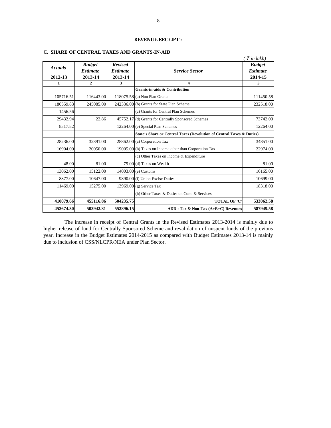#### REVENUE RECEIPT :

#### **C. SHARE OF CENTRAL TAXES AND GRANTS-IN-AID**

|                |                 |                 |                                                                       | $\bar{\tau}$ in lakh) |
|----------------|-----------------|-----------------|-----------------------------------------------------------------------|-----------------------|
| <b>Actuals</b> | <b>Budget</b>   | <b>Revised</b>  |                                                                       | <b>Budget</b>         |
|                | <b>Estimate</b> | <b>Estimate</b> | <b>Service Sector</b>                                                 | <b>Estimate</b>       |
| 2012-13        | 2013-14         | 2013-14         |                                                                       | 2014-15               |
| 1              | $\mathbf{2}$    | 3               | 4                                                                     | 5                     |
|                |                 |                 | Grants-in-aids & Contribution                                         |                       |
| 105716.51      | 116443.00       |                 | $118075.58$ (a) Non Plan Grants                                       | 111450.58             |
| 186559.83      | 245085.00       |                 | 242336.00 (b) Grants for State Plan Scheme                            | 232518.00             |
| 1456.56        |                 |                 | (c) Grants for Central Plan Schemes                                   |                       |
| 29432.94       | 22.86           |                 | 45752.17 (d) Grants for Centrally Sponsored Schemes                   | 73742.00              |
| 8317.82        |                 |                 | 12264.00 (e) Special Plan Schemes                                     | 12264.00              |
|                |                 |                 | State's Share or Central Taxes (Devolution of Central Taxes & Duties) |                       |
| 28236.00       | 32391.00        |                 | 28862.00 (a) Corporation Tax                                          | 34851.00              |
| 16904.00       | 20050.00        |                 | 19005.00 (b) Taxes on Income other than Corporation Tax               | 22974.00              |
|                |                 |                 | (c) Other Taxes on Income & Expenditure                               |                       |
| 48.00          | 81.00           |                 | 79.00 (d) Taxes on Wealth                                             | 81.00                 |
| 13062.00       | 15122.00        |                 | $14003.00$ (e) Customs                                                | 16165.00              |
| 8877.00        | 10647.00        |                 | 9890.00 (f) Union Excise Duties                                       | 10699.00              |
| 11469.00       | 15275.00        |                 | $13969.00$ (g) Service Tax                                            | 18318.00              |
|                |                 |                 | (h) Other Taxes & Duties on Com. & Services                           |                       |
| 410079.66      | 455116.86       | 504235.75       | <b>TOTAL OF 'C'</b>                                                   | 533062.58             |
| 453674.30      | 503942.31       | 552896.15       | ADD: Tax & Non-Tax (A+B+C) Revenues                                   | 587949.58             |

The increase in receipt of Central Grants in the Revised Estimates 2013-2014 is mainly due to higher release of fund for Centrally Sponsored Scheme and revalidation of unspent funds of the previous year. Increase in the Budget Estimates 2014-2015 as compared with Budget Estimates 2013-14 is mainly due to inclusion of CSS/NLCPR/NEA under Plan Sector.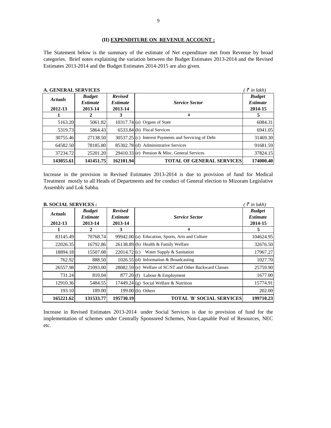#### **(II) EXPENDITURE ON REVENUE ACCOUNT :**

The Statement below is the summary of the estimate of Net expenditure met from Revenue by broad categories. Brief notes explaining the variation between the Budget Estimates 2013-2014 and the Revised Estimates 2013-2014 and the Budget Estimates 2014-2015 are also given.

| <b>A. GENERAL SERVICES</b> |                 |                        |                                                        | $\in$ $\bar{\tau}$ in lakh) |
|----------------------------|-----------------|------------------------|--------------------------------------------------------|-----------------------------|
| <b>Actuals</b>             | <b>Budget</b>   | <b>Revised</b>         |                                                        | <b>Budget</b>               |
|                            | <b>Estimate</b> | <i><b>Estimate</b></i> | <b>Service Sector</b>                                  | <b>Estimate</b>             |
| 2012-13                    | 2013-14         | 2013-14                |                                                        | 2014-15                     |
|                            |                 |                        | 4                                                      |                             |
| 5163.20                    | 5061.82         |                        | $10317.74$ (a) Organs of State                         | 6084.31                     |
| 5319.73                    | 5864.43         |                        | 6533.84 (b) Fiscal Services                            | 6941.05                     |
| 30755.46                   | 27138.50        |                        | $30537.25$ (c) Interest Payments and Servicing of Debt | 31469.30                    |
| 64582.50                   | 78185.80        |                        | 85302.78 (d) Administrative Services                   | 91681.59                    |
| 37234.72                   | 25201.20        |                        | $29410.33$ (e) Pension & Misc. General Services        | 37824.15                    |
| 143055.61                  | 141451.75       | 162101.94              | <b>TOTAL OF GENERAL SERVICES</b>                       | 174000.40                   |

Increase in the provision in Revised Estimates 2013-2014 is due to provision of fund for Medical Treatment mostly to all Heads of Departments and for conduct of General election to Mizoram Legislative Assembly and Lok Sabha.

| <b>B. SOCIAL SERVICES :</b> |                 |                        |                                                          | ₹ in lakh)      |
|-----------------------------|-----------------|------------------------|----------------------------------------------------------|-----------------|
| <b>Actuals</b>              | <b>Budget</b>   | <b>Revised</b>         |                                                          | <b>Budget</b>   |
|                             | <b>Estimate</b> | <i><b>Estimate</b></i> | <b>Service Sector</b>                                    | <b>Estimate</b> |
| 2012-13                     | 2013-14         | 2013-14                |                                                          | 2014-15         |
|                             |                 | 3                      | 4                                                        | 5               |
| 83145.49                    | 70768.74        |                        | 99942.00 (a) Education, Sports, Arts and Culture         | 104624.95       |
| 22026.35                    | 16792.86        |                        | 26138.89(b) Health & Family Welfare                      | 32676.50        |
| 18894.18                    | 15507.08        | 22014.72(c)            | Water Supply & Sanitation                                | 17967.27        |
| 762.92                      | 888.50          |                        | $1026.55$ (d) Information & Broadcasting                 | 1027.70         |
| 26557.98                    | 21093.00        |                        | 28082.59 (e) Welfare of SC/ST and Other Backward Classes | 25759.90        |
| 731.24                      | 810.04          |                        | $877.20$ (f) Labour & Employment                         | 1677.00         |
| 12910.36                    | 5484.55         |                        | $17449.24$ (g) Social Welfare & Nutrition                | 15774.91        |
| 193.10                      | 189.00          |                        | $199.00$ (h) Others                                      | 202.00          |
| 165221.62                   | 131533.77       | 195730.19              | <b>TOTAL 'B' SOCIAL SERVICES</b>                         | 199710.23       |

Increase in Revised Estimates 2013-2014 under Social Services is due to provision of fund for the implementation of schemes under Centrally Sponsored Schemes, Non-Lapsable Pool of Resources, NEC etc.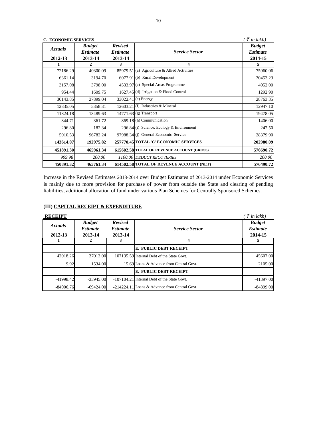| <b>C. ECONOMIC SERVICES</b> |                                  |                                   |                                                | $\bar{\tau}$ in lakh)            |
|-----------------------------|----------------------------------|-----------------------------------|------------------------------------------------|----------------------------------|
| <b>Actuals</b>              | <b>Budget</b><br><b>Estimate</b> | <b>Revised</b><br><b>Estimate</b> | <b>Service Sector</b>                          | <b>Budget</b><br><b>Estimate</b> |
|                             |                                  |                                   |                                                |                                  |
| 2012-13                     | 2013-14                          | 2013-14                           |                                                | 2014-15                          |
| 1                           | 2                                | 3                                 | 4                                              | 5                                |
| 72186.29                    | 40300.09                         |                                   | $85979.51$ (a) Agriculture & Allied Activities | 75960.06                         |
| 6361.14                     | 3194.70                          |                                   | $6077.91$ (b) Rural Development                | 30453.23                         |
| 3157.08                     | 3798.00                          |                                   | 4533.97 (c) Special Areas Programme            | 4052.00                          |
| 954.44                      | 1609.75                          |                                   | 1627.45 (d) Irrigation & Flood Control         | 1292.90                          |
| 30143.85                    | 27899.04                         |                                   | $33022.41$ (e) Energy                          | 28763.35                         |
| 12835.05                    | 5358.31                          |                                   | 12603.21 (f) Industries & Mineral              | 12947.10                         |
| 11824.18                    | 13489.63                         |                                   | 14771.63 (g) Transport                         | 19478.05                         |
| 844.71                      | 361.72                           |                                   | 869.18 <sup>(h)</sup> Communication            | 1406.00                          |
| 296.80                      | 182.34                           |                                   | $296.84$ (i) Science, Ecology & Environment    | 247.50                           |
| 5010.53                     | 96782.24                         |                                   | 97988.34(i) General Economic Service           | 28379.90                         |
| 143614.07                   | 192975.82                        |                                   | 257770.45 TOTAL 'C' ECONOMIC SERVICES          | 202980.09                        |
| 451891.30                   | 465961.34                        |                                   | 615602.58 TOTAL OF REVENUE ACCOUNT (GROSS)     | 576690.72                        |
| 999.98                      | 200.00                           |                                   | 1100.00 DEDUCT RECOVERIES                      | 200.00                           |
| 450891.32                   | 465761.34                        |                                   | 614502.58 TOTAL OF REVENUE ACCOUNT (NET)       | 576490.72                        |

Increase in the Revised Estimates 2013-2014 over Budget Estimates of 2013-2014 under Economic Services is mainly due to more provision for purchase of power from outside the State and clearing of pending liabilities, additional allocation of fund under various Plan Schemes for Centrally Sponsored Schemes.

#### **(III) CAPITAL RECEIPT & EXPENDITURE**

| <b>RECEIPT</b> |                 |                        |                                               | $\in$ $\bar{\tau}$ in lakh) |
|----------------|-----------------|------------------------|-----------------------------------------------|-----------------------------|
| <b>Actuals</b> | <b>Budget</b>   | <b>Revised</b>         |                                               | <b>Budget</b>               |
|                | <b>Estimate</b> | <i><b>Estimate</b></i> | <b>Service Sector</b>                         | <b>Estimate</b>             |
| 2012-13        | 2013-14         | 2013-14                |                                               | 2014-15                     |
|                |                 | 5                      | 4                                             | 5.                          |
|                |                 |                        | <b>E. PUBLIC DEBT RECEIPT</b>                 |                             |
| 42018.26       | 37013.00        |                        | 107135.59 Internal Debt of the State Govt.    | 45607.00                    |
| 9.92           | 1534.00         |                        | 15.69 Loans & Advance from Central Govt.      | 2105.00                     |
|                |                 |                        | <b>E. PUBLIC DEBT RECEIPT</b>                 |                             |
| $-41998.42$    | $-33945.00$     |                        | -107104.21 Internal Debt of the State Govt.   | $-41397.00$                 |
| $-84006.76$    | $-69424.00$     |                        | -214224.11 Loans & Advance from Central Govt. | $-84899.00$                 |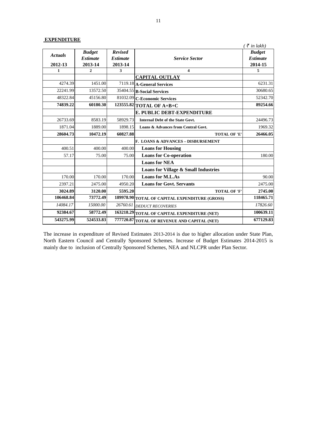### **EXPENDITURE**

|                |                 |                 |                                                | $\ell$ ₹ in lakh) |
|----------------|-----------------|-----------------|------------------------------------------------|-------------------|
| <b>Actuals</b> | <b>Budget</b>   | <b>Revised</b>  |                                                | <b>Budget</b>     |
|                | <b>Estimate</b> | <b>Estimate</b> | <b>Service Sector</b>                          | <b>Estimate</b>   |
| 2012-13        | 2013-14         | 2013-14         |                                                | 2014-15           |
| $\mathbf{1}$   | $\mathbf{2}$    | 3               | 4                                              | 5                 |
|                |                 |                 | <b>CAPITAL OUTLAY</b>                          |                   |
| 4274.39        | 1451.00         |                 | 7119.18 A-General Services                     | 6231.31           |
| 22241.99       | 13572.50        |                 | 35404.55 B-Social Services                     | 30680.65          |
| 48322.84       | 45156.80        |                 | 81032.09 C-Economic Services                   | 52342.70          |
| 74839.22       | 60180.30        |                 | 123555.82 TOTAL OF A+B+C                       | 89254.66          |
|                |                 |                 | <b>E. PUBLIC DEBT-EXPENDITURE</b>              |                   |
| 26733.69       | 8583.19         | 58929.73        | <b>Internal Debt of the State Govt.</b>        | 24496.73          |
| 1871.04        | 1889.00         | 1898.15         | Loans & Advances from Central Govt.            | 1969.32           |
| 28604.73       | 10472.19        | 60827.88        | <b>TOTAL OF 'E'</b>                            | 26466.05          |
|                |                 |                 | F. LOANS & ADVANCES - DISBURSEMENT             |                   |
| 400.51         | 400.00          | 400.00          | <b>Loans for Housing</b>                       |                   |
| 57.17          | 75.00           | 75.00           | <b>Loans for Co-operation</b>                  | 180.00            |
|                |                 |                 | <b>Loans for NEA</b>                           |                   |
|                |                 |                 | Loans for Village & Small Industries           |                   |
| 170.00         | 170.00          | 170.00          | <b>Loans for M.L.As</b>                        | 90.00             |
| 2397.21        | 2475.00         | 4950.20         | <b>Loans for Govt. Servants</b>                | 2475.00           |
| 3024.89        | 3120.00         | 5595.20         | <b>TOTAL OF 'F'</b>                            | 2745.00           |
| 106468.84      | 73772.49        |                 | 189978.90 TOTAL OF CAPITAL EXPENDITURE (GROSS) | 118465.71         |
| 14084.17       | 15000.00        | 26760.61        | <b>DEDUCT RECOVERIES</b>                       | 17826.60          |
| 92384.67       | 58772.49        |                 | 163218.29 TOTAL OF CAPITAL EXPENDITURE (NET)   | 100639.11         |
| 543275.99      | 524533.83       |                 | 777720.87 TOTAL OF REVENUE AND CAPITAL (NET)   | 677129.83         |

The increase in expenditure of Revised Estimates 2013-2014 is due to higher allocation under State Plan, North Eastern Council and Centrally Sponsored Schemes. Increase of Budget Estimates 2014-2015 is mainly due to inclusion of Centrally Sponsored Schemes, NEA and NLCPR under Plan Sector.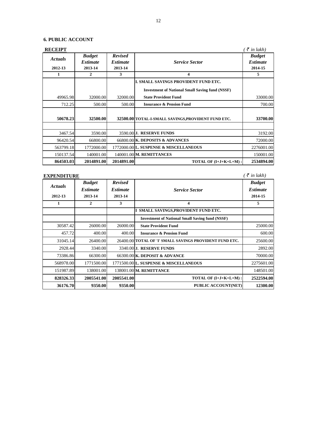#### **6. PUBLIC ACCOUNT**

| <b>RECEIPT</b> |                        |                        |                                                        | $\bar{\tau}$ in lakh) |
|----------------|------------------------|------------------------|--------------------------------------------------------|-----------------------|
| <b>Actuals</b> | <b>Budget</b>          | <b>Revised</b>         |                                                        | <b>Budget</b>         |
|                | <i><b>Estimate</b></i> | <i><b>Estimate</b></i> | <b>Service Sector</b>                                  | <b>Estimate</b>       |
| 2012-13        | 2013-14                | 2013-14                |                                                        | 2014-15               |
| 1              | $\mathbf{2}$           | 3                      | 4                                                      | 5                     |
|                |                        |                        | II. SMALL SAVINGS PROVIDENT FUND ETC.                  |                       |
|                |                        |                        | <b>Investment of National Small Saving fund (NSSF)</b> |                       |
| 49965.98       | 32000.00               | 32000.00               | <b>State Provident Fund</b>                            | 33000.00              |
| 712.25         | 500.00                 | 500.00                 | <b>Insurance &amp; Pension Fund</b>                    | 700.00                |
|                |                        |                        |                                                        |                       |
| 50678.23       | 32500.00               |                        | 32500.00 TOTAL-I-SMALL SAVINGS, PROVIDENT FUND ETC.    | 33700.00              |
|                |                        |                        |                                                        |                       |
| 3467.54        | 3590.00                |                        | 3590.00 J. RESERVE FUNDS                               | 3192.00               |
| 96420.54       | 66800.00               |                        | 66800.00 K. DEPOSITS & ADVANCES                        | 72000.00              |
| 563799.18      | 1772000.00             |                        | 1772000.00 L. SUSPENSE & MISCELLANEOUS                 | 2276001.00            |
| 150137.54      | 140001.00              |                        | 140001.00 M. REMITTANCES                               | 150001.00             |
| 864503.03      | 2014891.00             | 2014891.00             | TOTAL OF $(I+J+K+L+M):$                                | 2534894.00            |

| <b>EXPENDITURE</b> |                        |                        |                                                         | $\bar{\tau}$ in lakh) |
|--------------------|------------------------|------------------------|---------------------------------------------------------|-----------------------|
|                    | <b>Budget</b>          | <b>Revised</b>         |                                                         | <b>Budget</b>         |
| <b>Actuals</b>     | <i><b>Estimate</b></i> | <i><b>Estimate</b></i> | <b>Service Sector</b>                                   | <b>Estimate</b>       |
| 2012-13            | 2013-14                | 2013-14                |                                                         | 2014-15               |
| 1                  | 2                      | 3                      | 4                                                       | 5                     |
|                    |                        |                        | I SMALL SAVINGS, PROVIDENT FUND ETC.                    |                       |
|                    |                        |                        | <b>Investment of National Small Saving fund (NSSF)</b>  |                       |
| 30587.42           | 26000.00               | 26000.00               | <b>State Provident Fund</b>                             | 25000.00              |
| 457.72             | 400.00                 | 400.00                 | <b>Insurance &amp; Pension Fund</b>                     | 600.00                |
| 31045.14           | 26400.00               |                        | 26400.00 TOTAL OF 'T' SMALL SAVINGS PROVIDENT FUND ETC. | 25600.00              |
| 2928.44            | 3340.00                |                        | 3340.00 J. RESERVE FUNDS                                | 2892.00               |
| 73386.86           | 66300.00               |                        | 66300.00 K. DEPOSIT & ADVANCE                           | 70000.00              |
| 568978.00          | 1771500.00             |                        | 1771500.00 L. SUSPENSE & MISCELLANEOUS                  | 2275601.00            |
| 151987.89          | 138001.00              |                        | 138001.00 M. REMITTANCE                                 | 148501.00             |
| 828326.33          | 2005541.00             | 2005541.00             | TOTAL OF (I+J+K+L+M):                                   | 2522594.00            |
| 36176.70           | 9350.00                | 9350.00                | <b>PUBLIC ACCOUNT(NET)</b>                              | 12300.00              |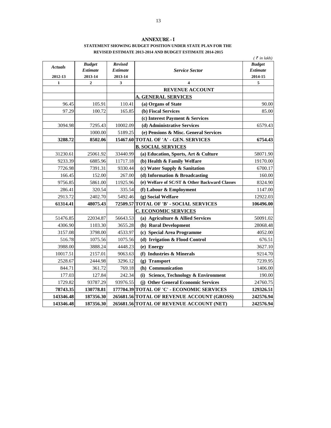#### ANNEXURE - I

#### **STATEMENT SHOWING BUDGET POSITION UNDER STATE PLAN FOR THE REVISED ESTIMATE 2013-2014 AND BUDGET ESTIMATE 2014-2015**

|                | <b>Budget</b>   | <b>Revised</b>  |                                               | $($ ₹ in lakh)<br><b>Budget</b> |
|----------------|-----------------|-----------------|-----------------------------------------------|---------------------------------|
| <b>Actuals</b> | <b>Estimate</b> | <b>Estimate</b> | <b>Service Sector</b>                         | <b>Estimate</b>                 |
| 2012-13        | 2013-14         | 2013-14         |                                               | 2014-15                         |
| $\mathbf{1}$   | $\overline{2}$  | 3               | 4                                             | 5                               |
|                |                 |                 | <b>REVENUE ACCOUNT</b>                        |                                 |
|                |                 |                 | <b>A. GENERAL SERVICES</b>                    |                                 |
| 96.45          | 105.91          | 110.41          | (a) Organs of State                           | 90.00                           |
| 97.29          | 100.72          | 165.85          | (b) Fiscal Services                           | 85.00                           |
|                |                 |                 | (c) Interest Payment & Services               |                                 |
| 3094.98        | 7295.43         | 10002.09        | (d) Administrative Services                   | 6579.43                         |
|                | 1000.00         | 5189.25         | (e) Pensions & Misc. General Services         |                                 |
| 3288.72        | 8502.06         |                 | 15467.60 TOTAL OF 'A' - GEN. SERVICES         | 6754.43                         |
|                |                 |                 | <b>B. SOCIAL SERVICES</b>                     |                                 |
| 31230.61       | 25061.92        | 33440.99        | (a) Education, Sports, Art & Culture          | 58071.90                        |
| 9233.39        | 6885.96         | 11717.18        | (b) Health & Family Welfare                   | 19170.00                        |
| 7726.98        | 7391.31         | 9330.44         | (c) Water Supply & Sanitation                 | 6700.17                         |
| 166.45         | 152.00          | 267.00          | (d) Information $&$ Broadcasting              | 160.00                          |
| 9756.85        | 5861.00         | 11925.96        | (e) Welfare of SC/ST & Other Backward Classes | 8324.90                         |
| 286.41         | 320.54          | 335.54          | (f) Labour & Employment                       | 1147.00                         |
| 2913.72        | 2402.70         | 5492.46         | (g) Social Welfare                            | 12922.03                        |
| 61314.41       | 48075.43        |                 | 72509.57 TOTAL OF 'B' - SOCIAL SERVICES       | 106496.00                       |
|                |                 |                 | <b>C. ECONOMIC SERVICES</b>                   |                                 |
| 51476.85       | 22034.87        | 56643.53        | (a) Agriculture & Allied Services             | 50091.02                        |
| 4306.90        | 1103.30         | 3655.28         | (b) Rural Development                         | 28068.48                        |
| 3157.08        | 3798.00         | 4533.97         | (c) Special Area Programme                    | 4052.00                         |
| 516.78         | 1075.56         | 1075.56         | (d) Irrigation & Flood Control                | 676.51                          |
| 3988.00        | 3888.24         | 4448.23         | (e) Energy                                    | 3627.10                         |
| 10017.51       | 2157.01         | 9063.63         | (f) Industries $\&$ Minerals                  | 9214.70                         |
| 2528.67        | 2444.98         | 3296.12         | (g) Transport                                 | 7239.95                         |
| 844.71         | 361.72          | 769.18          | (h) Communication                             | 1406.00                         |
| 177.03         | 127.84          | 242.34          | (i) Science, Technology & Environment         | 190.00                          |
| 1729.82        | 93787.29        | 93976.55        | (j) Other General Economic Services           | 24760.75                        |
| 78743.35       | 130778.81       |                 | 177704.39 TOTAL OF 'C' - ECONOMIC SERVICES    | 129326.51                       |
| 143346.48      | 187356.30       |                 | 265681.56 TOTAL OF REVENUE ACCOUNT (GROSS)    | 242576.94                       |
| 143346.48      | 187356.30       |                 | 265681.56 TOTAL OF REVENUE ACCOUNT (NET)      | 242576.94                       |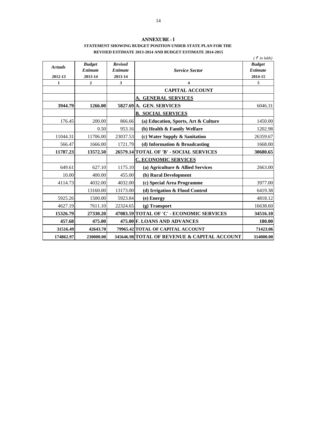# ANNEXURE - I

#### **STATEMENT SHOWING BUDGET POSITION UNDER STATE PLAN FOR THE REVISED ESTIMATE 2013-2014 AND BUDGET ESTIMATE 2014-2015**

|                |                 |                 |                                                         | ( ₹ in lakh)    |
|----------------|-----------------|-----------------|---------------------------------------------------------|-----------------|
| <b>Actuals</b> | <b>Budget</b>   | <b>Revised</b>  |                                                         | <b>Budget</b>   |
|                | <b>Estimate</b> | <b>Estimate</b> | <b>Service Sector</b>                                   | <b>Estimate</b> |
| 2012-13        | 2013-14         | 2013-14         |                                                         | 2014-15         |
| $\mathbf{1}$   | $\overline{2}$  | 3               | 4                                                       | 5               |
|                |                 |                 | <b>CAPITAL ACCOUNT</b>                                  |                 |
|                |                 |                 | A. GENERAL SERVICES                                     |                 |
| 3944.79        | 1266.00         |                 | 5827.69 A. GEN. SERVICES                                | 6046.31         |
|                |                 |                 | <b>B. SOCIAL SERVICES</b>                               |                 |
| 176.45         | 200.00          | 866.66          | (a) Education, Sports, Art & Culture                    | 1450.00         |
|                | 0.50            | 953.16          | (b) Health & Family Welfare                             | 1202.98         |
| 11044.31       | 11706.00        | 23037.53        | (c) Water Supply & Sanitation                           | 26359.67        |
| 566.47         | 1666.00         | 1721.79         | (d) Information & Broadcasting                          | 1668.00         |
| 11787.23       | 13572.50        |                 | 26579.14 TOTAL OF 'B' - SOCIAL SERVICES                 | 30680.65        |
|                |                 |                 | <b>C. ECONOMIC SERVICES</b>                             |                 |
| 649.61         | 627.10          | 1175.10         | (a) Agriculture & Allied Services                       | 2663.00         |
| 10.00          | 400.00          | 455.00          | (b) Rural Development                                   |                 |
| 4114.73        | 4032.00         | 4032.00         | (c) Special Area Programme                              | 3977.00         |
|                | 13160.00        | 13173.00        | (d) Irrigation & Flood Control                          | 6419.38         |
| 5925.26        | 1500.00         | 5923.84         | (e) Energy                                              | 4818.12         |
| 4627.19        | 7611.10         | 22324.65        | (g) Transport                                           | 16638.60        |
| 15326.79       | 27330.20        |                 | 47083.59 TOTAL OF 'C' - ECONOMIC SERVICES               | 34516.10        |
| 457.68         | 475.00          |                 | 475.00 F. LOANS AND ADVANCES                            | 180.00          |
| 31516.49       | 42643.70        |                 | 79965.42 TOTAL OF CAPITAL ACCOUNT                       | 71423.06        |
| 174862.97      | 230000.00       |                 | <b>345646.98 TOTAL OF REVENUE &amp; CAPITAL ACCOUNT</b> | 314000.00       |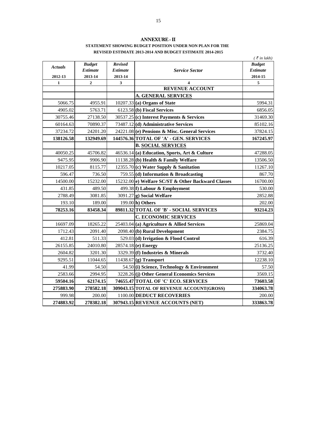# ANNEXURE - II

#### **STATEMENT SHOWING BUDGET POSITION UNDER NON PLAN FOR THE REVISED ESTIMATE 2013-2014 AND BUDGET ESTIMATE 2014-2015**

|                |                 |                 |                                                    | $($ ₹ in lakh)  |
|----------------|-----------------|-----------------|----------------------------------------------------|-----------------|
| <b>Actuals</b> | <b>Budget</b>   | <b>Revised</b>  |                                                    | <b>Budget</b>   |
|                | <b>Estimate</b> | <b>Estimate</b> | <b>Service Sector</b>                              | <b>Estimate</b> |
| 2012-13        | 2013-14         | 2013-14         |                                                    | 2014-15         |
| $\mathbf{1}$   | $\overline{2}$  | 3               | 4                                                  | 5               |
|                |                 |                 | <b>REVENUE ACCOUNT</b>                             |                 |
|                |                 |                 | <b>A. GENERAL SERVICES</b>                         |                 |
| 5066.75        | 4955.91         |                 | $10207.33$ (a) Organs of State                     | 5994.31         |
| 4905.02        | 5763.71         |                 | $6123.58$ (b) Fiscal Services                      | 6856.05         |
| 30755.46       | 27138.50        |                 | $30537.25$ (c) Interest Payments & Services        | 31469.30        |
| 60164.63       | 70890.37        |                 | 73487.12 (d) Administrative Services               | 85102.16        |
| 37234.72       | 24201.20        |                 | 24221.08 (e) Pensions & Misc. General Services     | 37824.15        |
| 138126.58      | 132949.69       |                 | 144576.36 TOTAL OF 'A' - GEN. SERVICES             | 167245.97       |
|                |                 |                 | <b>B. SOCIAL SERVICES</b>                          |                 |
| 40050.25       | 45706.82        |                 | $46536.14$ (a) Education, Sports, Art & Culture    | 47288.05        |
| 9475.95        | 9906.90         |                 | 11138.28 (b) Health & Family Welfare               | 13506.50        |
| 10217.05       | 8115.77         |                 | $12355.70$ (c) Water Supply & Sanitation           | 11267.10        |
| 596.47         | 736.50          |                 | $759.55$ (d) Information & Broadcasting            | 867.70          |
| 14500.00       | 15232.00        |                 | 15232.00 e) Welfare SC/ST & Other Backward Classes | 16700.00        |
| 431.85         | 489.50          |                 | 499.38 f) Labour & Employment                      | 530.00          |
| 2788.49        | 3081.85         |                 | 3091.27 g) Social Welfare                          | 2852.88         |
| 193.10         | 189.00          |                 | 199.00 h) Others                                   | 202.00          |
| 78253.16       | 83458.34        |                 | 89811.32 TOTAL OF 'B' - SOCIAL SERVICES            | 93214.23        |
|                |                 |                 | <b>C. ECONOMIC SERVICES</b>                        |                 |
| 16697.09       | 18265.22        |                 | 25403.04 (a) Agriculture & Allied Services         | 25869.04        |
| 1712.43        | 2091.40         |                 | 2098.40 (b) Rural Development                      | 2384.75         |
| 412.81         | 511.33          |                 | 529.03 (d) Irrigation & Flood Control              | 616.39          |
| 26155.85       | 24010.80        |                 | 28574.18 (e) Energy                                | 25136.25        |
| 2604.82        | 3201.30         |                 | 3329.39 (f) Industries & Minerals                  | 3732.40         |
| 9295.51        | 11044.65        |                 | $11438.67$ (g) Transport                           | 12238.10        |
| 41.99          | 54.50           |                 | 54.50 (i) Science, Technology & Environment        | 57.50           |
| 2583.66        | 2994.95         |                 | 3228.26 (j) Other General Economics Services       | 3569.15         |
| 59504.16       | 62174.15        |                 | 74655.47 TOTAL OF 'C' ECO. SERVICES                | 73603.58        |
| 275883.90      | 278582.18       |                 | 309043.15 TOTAL OF REVENUE ACCOUNT(GROSS)          | 334063.78       |
| 999.98         | 200.00          |                 | 1100.00 DEDUCT RECOVERIES                          | 200.00          |
| 274883.92      | 278382.18       |                 | 307943.15 REVENUE ACCOUNTS (NET)                   | 333863.78       |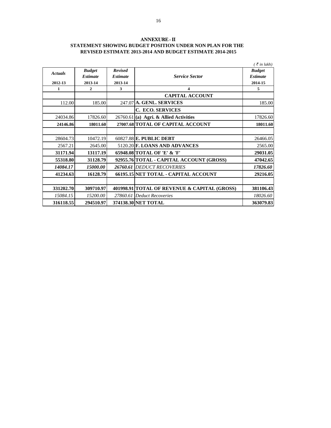#### ANNEXURE - II **STATEMENT SHOWING BUDGET POSITION UNDER NON PLAN FOR THE REVISED ESTIMATE 2013-2014 AND BUDGET ESTIMATE 2014-2015**

|                |                 |                 |                                              | $($ ₹ in lakh)  |
|----------------|-----------------|-----------------|----------------------------------------------|-----------------|
| <b>Actuals</b> | <b>Budget</b>   | <b>Revised</b>  |                                              | <b>Budget</b>   |
|                | <b>Estimate</b> | <b>Estimate</b> | <b>Service Sector</b>                        | <b>Estimate</b> |
| 2012-13        | 2013-14         | 2013-14         |                                              | 2014-15         |
| 1              | 2               | 3               | 4                                            | 5               |
|                |                 |                 | <b>CAPITAL ACCOUNT</b>                       |                 |
| 112.00         | 185.00          |                 | 247.07 A. GENL. SERVICES                     | 185.00          |
|                |                 |                 | C. ECO. SERVICES                             |                 |
| 24034.86       | 17826.60        |                 | $26760.61$ (a) Agri. & Allied Activities     | 17826.60        |
| 24146.86       | 18011.60        |                 | 27007.68 TOTAL OF CAPITAL ACCOUNT            | 18011.60        |
|                |                 |                 |                                              |                 |
| 28604.73       | 10472.19        |                 | 60827.88 E. PUBLIC DEBT                      | 26466.05        |
| 2567.21        | 2645.00         |                 | 5120.20 F. LOANS AND ADVANCES                | 2565.00         |
| 31171.94       | 13117.19        |                 | 65948.08 TOTAL OF 'E' & 'F'                  | 29031.05        |
| 55318.80       | 31128.79        |                 | 92955.76 TOTAL - CAPITAL ACCOUNT (GROSS)     | 47042.65        |
| 14084.17       | 15000.00        |                 | 26760.61 DEDUCT RECOVERIES                   | 17826.60        |
| 41234.63       | 16128.79        |                 | 66195.15 NET TOTAL - CAPITAL ACCOUNT         | 29216.05        |
|                |                 |                 |                                              |                 |
| 331202.70      | 309710.97       |                 | 401998.91 TOTAL OF REVENUE & CAPITAL (GROSS) | 381106.43       |
| 15084.15       | 15200.00        |                 | 27860.61 Deduct Recoveries                   | 18026.60        |
| 316118.55      | 294510.97       |                 | 374138.30 NET TOTAL                          | 363079.83       |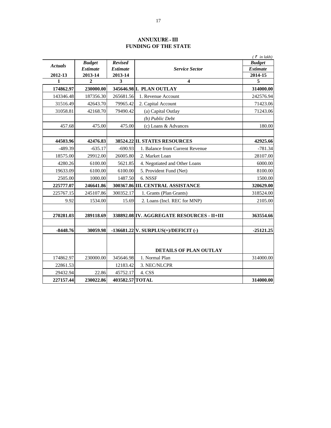# ANNUXURE - III **FUNDING OF THE STATE**

|                |                 |                         |                                              | $(\bar{\tau}$ in lakh) |
|----------------|-----------------|-------------------------|----------------------------------------------|------------------------|
| <b>Actuals</b> | <b>Budget</b>   | <b>Revised</b>          |                                              | <b>Budget</b>          |
|                | <b>Estimate</b> | <b>Estimate</b>         | <b>Service Sector</b>                        | <b>Estimate</b>        |
| 2012-13        | 2013-14         | 2013-14                 |                                              | 2014-15                |
| 1              | $\overline{2}$  | $\overline{\mathbf{3}}$ | $\overline{\mathbf{4}}$                      | 5                      |
| 174862.97      | 230000.00       |                         | 345646.98 I. PLAN OUTLAY                     | 314000.00              |
| 143346.48      | 187356.30       | 265681.56               | 1. Revenue Account                           | 242576.94              |
| 31516.49       | 42643.70        | 79965.42                | 2. Capital Account                           | 71423.06               |
| 31058.81       | 42168.70        | 79490.42                | (a) Capital Outlay                           | 71243.06               |
|                |                 |                         | $(b)$ Public Debt                            |                        |
| 457.68         | 475.00          | 475.00                  | (c) Loans & Advances                         | 180.00                 |
|                |                 |                         |                                              |                        |
| 44503.96       | 42476.83        |                         | 38524.22 III. STATES RESOURCES               | 42925.66               |
| $-489.39$      | $-635.17$       | $-690.93$               | 1. Balance from Current Revenue              | $-781.34$              |
| 18575.00       | 29912.00        | 26005.80                | 2. Market Loan                               | 28107.00               |
| 4280.26        | 6100.00         | 5621.85                 | 4. Negotiated and Other Loans                | 6000.00                |
| 19633.09       | 6100.00         | 6100.00                 | 5. Provident Fund (Net)                      | 8100.00                |
| 2505.00        | 1000.00         | 1487.50                 | 6. NSSF                                      | 1500.00                |
| 225777.07      | 246641.86       |                         | 300367.86 III. CENTRAL ASSISTANCE            | 320629.00              |
| 225767.15      | 245107.86       | 300352.17               | 1. Grants (Plan Grants)                      | 318524.00              |
| 9.92           | 1534.00         | 15.69                   | 2. Loans (Incl. REC for MNP)                 | 2105.00                |
|                |                 |                         |                                              |                        |
| 270281.03      | 289118.69       |                         | 338892.08 IV. AGGREGATE RESOURCES - II+III   | 363554.66              |
| $-8448.76$     | 30059.98        |                         |                                              | $-25121.25$            |
|                |                 |                         | $-136681.22$ V. SURPLUS $(+)/$ DEFICIT $(-)$ |                        |
|                |                 |                         |                                              |                        |
|                |                 |                         | DETAILS OF PLAN OUTLAY                       |                        |
| 174862.97      | 230000.00       | 345646.98               | 1. Normal Plan                               | 314000.00              |
| 22861.53       |                 | 12183.42                | 3. NEC/NLCPR                                 |                        |
| 29432.94       | 22.86           | 45752.17                | 4. CSS                                       |                        |
| 227157.44      | 230022.86       | 403582.57 TOTAL         |                                              | 314000.00              |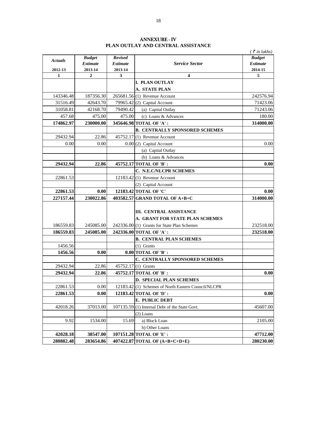# ANNEXURE - IV **PLAN OUTLAY AND CENTRAL ASSISTANCE**

|                |                 |                 | OUTERT AND CENTRAL ASSISTAT                                                                                             | $($ ₹ in lakhs) |
|----------------|-----------------|-----------------|-------------------------------------------------------------------------------------------------------------------------|-----------------|
|                | <b>Budget</b>   | Revised         |                                                                                                                         | <b>Budget</b>   |
| <b>Actuals</b> | <b>Estimate</b> | <b>Estimate</b> | <b>Service Sector</b>                                                                                                   | <b>Estimate</b> |
| 2012-13        | 2013-14         | 2013-14         |                                                                                                                         | 2014-15         |
| 1              | $\overline{2}$  | 3               | 4                                                                                                                       | 5               |
|                |                 |                 | <b>I. PLAN OUTLAY</b>                                                                                                   |                 |
|                |                 |                 | A. STATE PLAN                                                                                                           |                 |
| 143346.48      | 187356.30       |                 | $265681.56(1)$ Revenue Account                                                                                          | 242576.94       |
| 31516.49       | 42643.70        |                 | 79965.42 $(2)$ Capital Account                                                                                          | 71423.06        |
| 31058.81       | 42168.70        | 79490.42        | (a) Capital Outlay                                                                                                      | 71243.06        |
| 457.68         | 475.00          | 475.00          | (c) Loans & Advances                                                                                                    | 180.00          |
| 174862.97      | 230000.00       |                 | 345646.98 TOTAL OF 'A':                                                                                                 | 314000.00       |
|                |                 |                 | <b>B. CENTRALLY SPONSORED SCHEMES</b>                                                                                   |                 |
| 29432.94       | 22.86           |                 | $45752.17(1)$ Revenue Account                                                                                           |                 |
| 0.00           | 0.00            |                 | $0.00(2)$ Capital Account                                                                                               | 0.00            |
|                |                 |                 | (a) Capital Outlay                                                                                                      |                 |
|                |                 |                 | (b) Loans & Advances                                                                                                    |                 |
| 29432.94       | 22.86           |                 | 45752.17 TOTAL OF 'B':                                                                                                  | 0.00            |
|                |                 |                 | C. N.E.C/NLCPR SCHEMES                                                                                                  |                 |
| 22861.53       |                 |                 | $12183.42(1)$ Revenue Account                                                                                           |                 |
|                |                 |                 | (2) Capital Account                                                                                                     |                 |
| 22861.53       | 0.00            |                 | 12183.42 TOTAL OF 'C'                                                                                                   | 0.00            |
| 227157.44      | 230022.86       |                 | 403582.57 GRAND TOTAL OF A+B+C                                                                                          | 314000.00       |
| 186559.83      | 245085.00       |                 | <b>III. CENTRAL ASSISTANCE</b><br><b>A. GRANT FOR STATE PLAN SCHEMES</b><br>242336.00 (1) Grants for State Plan Schemes | 232518.00       |
| 186559.83      | 245085.00       |                 | 242336.00 TOTAL OF 'A':                                                                                                 | 232518.00       |
|                |                 |                 | <b>B. CENTRAL PLAN SCHEMES</b>                                                                                          |                 |
| 1456.56        |                 |                 | $(1)$ Grants                                                                                                            |                 |
| 1456.56        | 0.00            |                 | $0.00$  TOTAL OF 'B':                                                                                                   |                 |
|                |                 |                 | C. CENTRALLY SPONSORED SCHEMES                                                                                          |                 |
| 29432.94       | 22.86           |                 | $45752.17(1)$ Grants                                                                                                    |                 |
| 29432.94       | 22.86           |                 | 45752.17 TOTAL OF 'B':                                                                                                  | 0.00            |
|                |                 |                 | <b>D. SPECIAL PLAN SCHEMES</b>                                                                                          |                 |
| 22861.53       | 0.00            |                 | 12183.42 (1) Schemes of North Eastern Council/NLCPR                                                                     |                 |
| 22861.53       | 0.00            |                 | 12183.42 TOTAL OF 'D':                                                                                                  | 0.00            |
|                |                 |                 | <b>E. PUBLIC DEBT</b>                                                                                                   |                 |
| 42018.26       | 37013.00        |                 | 107135.59 (1) Internal Debt of the State Govt.                                                                          | 45607.00        |
|                |                 |                 | (2) Loans                                                                                                               |                 |
| 9.92           | 1534.00         | 15.69           | a) Block Loan                                                                                                           | 2105.00         |
|                |                 |                 | b) Other Loans                                                                                                          |                 |
| 42028.18       | 38547.00        |                 | 107151.28 TOTAL OF 'E':                                                                                                 | 47712.00        |
| 280882.48      | 283654.86       |                 | 407422.87 TOTAL OF $(A+B+C+D+E)$                                                                                        | 280230.00       |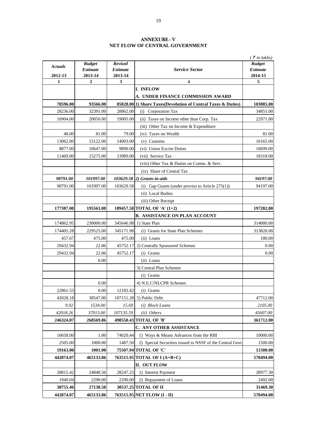### ANNEXURE - V **NET FLOW OF CENTRAL GOVERNMENT**

|                | <b>Budget</b>   | <b>Revised</b>  |                                                                | $($ ₹ in lakhs)<br><b>Budget</b> |
|----------------|-----------------|-----------------|----------------------------------------------------------------|----------------------------------|
| <b>Actuals</b> | <b>Estimate</b> | <b>Estimate</b> | <b>Service Sector</b>                                          | <b>Estimate</b>                  |
| 2012-13        | 2013-14         | 2013-14         |                                                                | 2014-15                          |
| 1              | 2               | 3               | 4                                                              | 5                                |
|                |                 |                 | I. INFLOW                                                      |                                  |
|                |                 |                 | A. UNDER FINANCE COMMISSION AWARD                              |                                  |
| 78596.00       | 93566.00        |                 | 85828.00 1) Share Taxes (Devolution of Central Taxes & Duties) | 103085.00                        |
| 28236.00       | 32391.00        | 28862.00        | (i) Corporation Tax                                            | 34851.00                         |
| 16904.00       | 20050.00        | 19005.00        | (ii) Taxes on Income other than Corp. Tax                      | 22971.00                         |
|                |                 |                 | (iii) Other Tax on Income & Expenditure                        |                                  |
| 48.00          | 81.00           | 79.00           | (iv) Taxes on Wealth                                           | 81.00                            |
| 13062.00       | 15122.00        | 14003.00        | $(v)$ Customs                                                  | 16165.00                         |
| 8877.00        | 10647.00        | 9890.00         | (vi) Union Excise Duties                                       | 10699.00                         |
| 11469.00       | 15275.00        | 13989.00        | (vii) Service Tax                                              | 18318.00                         |
|                |                 |                 | (viii) Other Tax & Duties on Comm. & Serv.                     |                                  |
|                |                 |                 | (ix) Share of Central Tax                                      |                                  |
| 98791.00       | 101997.00       |                 | 103629.58 2) Grants-in-aids                                    | 94197.00                         |
| 98791.00       | 101997.00       | 103629.58       | (i) Gap Grants (under proviso to Article 275(1))               | 94197.00                         |
|                |                 |                 | (ii) Local Bodies                                              |                                  |
|                |                 |                 | (iii) Other Receipt                                            |                                  |
| 177387.00      | 195563.00       |                 | 189457.58 TOTAL OF 'A' (1+2)                                   | 197282.00                        |
|                |                 |                 | <b>B. ASSISTANCE ON PLAN ACCOUNT</b>                           |                                  |
| 174862.95      | 230000.00       |                 | 345646.98 1) State Plan                                        | 314000.00                        |
| 174405.28      | 229525.00       | 345171.98       | (i) Grants for State Plan Schemes                              | 313820.00                        |
| 457.67         | 475.00          | 475.00          | (ii) Loans                                                     | 180.00                           |
| 29432.94       | 22.86           |                 | 45752.17 2) Centrally Sponsored Schemes                        | 0.00                             |
| 29432.94       | 22.86           | 45752.17        | (i) Grants                                                     | 0.00                             |
|                | 0.00            |                 | (ii) Loans                                                     |                                  |
|                |                 |                 | 3) Central Plan Schemes                                        |                                  |
|                |                 |                 | (i) Grants                                                     |                                  |
|                | 0.00            |                 | 4) N.E.C/NLCPR Schemes                                         |                                  |
| 22861.53       | 0.00            | 12183.42        | (i) Grants                                                     |                                  |
| 42028.18       | 38547.00        |                 | 107151.28 5) Public Debt                                       | 47712.00                         |
| 9.92           | 1534.00         | 15.69           | ( <i>i</i> ) Block Loans                                       | 2105.00                          |
|                |                 | 107135.59       |                                                                | 45607.00                         |
| 42018.26       | 37013.00        |                 | (ii) Others                                                    |                                  |
| 246324.07      | 268569.86       |                 | 498550.43 TOTAL OF 'B'<br>C. ANY OTHER ASSISTANCE              | 361712.00                        |
|                |                 |                 |                                                                |                                  |
| 16658.00       | 1.00            | 74020.44        | 1) Ways & Means Advances from the RBI                          | 10000.00                         |
| 2505.00        | 1000.00         | 1487.50         | 2) Special Securities issued to NSSF of the Central Govt.      | 1500.00                          |
| 19163.00       | 1001.00         |                 | 75507.94 TOTAL OF 'C'                                          | 11500.00                         |
| 442874.07      | 465133.86       |                 | 763515.95 TOTAL OF I (A+B+C)                                   | 570494.00                        |
|                |                 |                 | II. OUT FLOW                                                   |                                  |
| 28815.42       | 24848.50        | 28247.25        | 1) Interest Payment                                            | 28977.30                         |
| 1940.04        | 2290.00         | 2290.00         | 2) Repayment of Loans                                          | 2492.00                          |
| 30755.46       | 27138.50        |                 | 30537.25 TOTAL OF II                                           | 31469.30                         |
| 442874.07      | 465133.86       |                 | 763515.95 NET FLOW (I - II)                                    | 570494.00                        |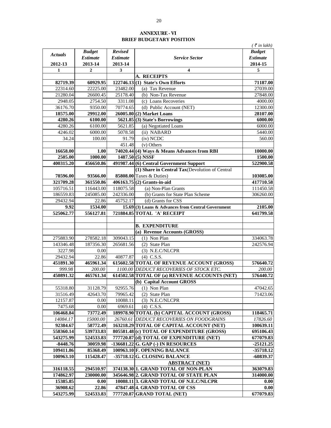#### ANNEXURE - VI **BRIEF BUDGETARY POSITION**

|                         |                       |                 |                                                                | $\zeta$ $\bar{\zeta}$ in lakh) |
|-------------------------|-----------------------|-----------------|----------------------------------------------------------------|--------------------------------|
|                         | <b>Budget</b>         | <b>Revised</b>  |                                                                | <b>Budget</b>                  |
| <b>Actuals</b>          | <b>Estimate</b>       | <b>Estimate</b> | <b>Service Sector</b>                                          | <b>Estimate</b>                |
| 2012-13                 | 2013-14               | 2013-14         |                                                                | 2014-15                        |
| $\mathbf{1}$            | $\overline{2}$        | 3               | $\overline{\mathbf{4}}$                                        | 5                              |
|                         |                       |                 | A. RECEIPTS                                                    |                                |
| 82719.39                | 60929.95              |                 | $122746.13(1)$ State's Own Efforts                             | 71187.00                       |
| 22314.60                | 22225.00              | 23482.00        | (a) Tax Revenue                                                | 27039.00                       |
| 21280.04                | 26600.45              | 25178.40        | (b) Non-Tax Revenue                                            | 27848.00                       |
| 2948.05                 | 2754.50               | 3311.08         | (c) Loans Recoveries                                           | 4000.00                        |
| 36176.70                | 9350.00               | 70774.65        | (d) Public Account (NET)                                       | 12300.00                       |
| 18575.00                | 29912.00              |                 | 26005.80 (2) Market Loans                                      | 28107.00                       |
| 4280.26                 | 6100.00               |                 | $5621.85(3)$ State's Borrowings                                | 6000.00                        |
| 4280.26                 | 6100.00               | 5621.85         | (a) Negotiated Loans                                           | 6000.00                        |
| 4246.02                 | 6000.00               | 5078.58         | (ii) NABARD                                                    | 5440.00                        |
| 34.24                   | 100.00                | 91.79           | (iv) NCDC                                                      | 560.00                         |
|                         |                       | 451.48          | $(v)$ Others                                                   |                                |
| 16658.00                | 1.00                  |                 | 74020.44 (4) Ways & Means Advances from RBI                    | 10000.00                       |
| 2505.00                 | 1000.00               |                 | 1487.50 (5) NSSF                                               | 1500.00                        |
| 400315.20               | 456650.86             |                 | 491987.44 (6) Central Government Support                       | 522900.58                      |
|                         |                       |                 | (1) Share in Central Tax(Devolution of Central                 |                                |
| 78596.00                | 93566.00              |                 | $85808.00$ Taxes & Duties)                                     | 103085.00                      |
| 321709.28               | 361550.86             |                 | 406163.75 (2) Grants-in-aid                                    | 417710.58                      |
| 105716.51               | 116443.00             | 118075.58       | (a) Non-Plan Grants                                            | 111450.58                      |
| 186559.83               | 245085.00             | 242336.00       | (b) Grants for State Plan Scheme                               | 306260.00                      |
| 29432.94                | 22.86                 | 45752.17        | (d) Grants for CSS                                             |                                |
| 9.92                    | 1534.00               |                 | 15.69 (3) Loans & Advances from Central Government             | 2105.00                        |
| 525062.77               | 556127.81             |                 | 721884.85 TOTAL 'A' RECEIPT                                    | 641799.58                      |
|                         |                       |                 |                                                                |                                |
|                         |                       |                 | <b>B. EXPENDITURE</b>                                          |                                |
|                         |                       |                 | (a) Revenue Accounts (GROSS)                                   |                                |
| 275883.90               | 278582.18             | 309043.15       | (1) Non Plan                                                   | 334063.78                      |
| 143346.48               | 187356.30             | 265681.56       | (2) State Plan                                                 | 242576.94                      |
| 3227.98                 | 0.00                  |                 | (3) N.E.C/NLCPR                                                |                                |
| 29432.94                | 22.86                 | 40877.87        | $(4)$ C.S.S.                                                   |                                |
| 451891.30               | 465961.34             |                 | 615602.58 TOTAL OF REVENUE ACCOUNT (GROSS)                     | 576640.72                      |
| 999.98                  | 200.00                |                 | 1100.00 DEDUCT RECOVERIES OF STOCK ETC.                        | 200.00                         |
| 450891.32               | 465761.34             |                 | 614502.58 TOTAL OF (a) REVENUE ACCOUNTS (NET)                  | 576440.72                      |
|                         |                       |                 | (b) Capital Account GROSS                                      |                                |
| 55318.80                | 31128.79              | 92955.76        | $(1)$ Non Plan                                                 | 47042.65                       |
| 31516.49                | 42643.70              | 79965.42        | (2) State Plan                                                 | 71423.06                       |
| 12157.87                | 0.00                  | 10088.11        | (3) N.E.C/NLCPR                                                |                                |
| 7475.68                 | 0.00                  | 6969.61         | $(4)$ C.S.S.                                                   |                                |
| 106468.84               | 73772.49              |                 | 189978.90 TOTAL (b) CAPITAL ACCOUNT (GROSS)                    | 118465.71                      |
| 14084.17                | 15000.00              |                 | 26760.61 DEDUCT RECOVERIES ON FOODGRAINS                       | 17826.60                       |
| 92384.67<br>558360.14   | 58772.49<br>539733.83 |                 | 163218.29 TOTAL OF CAPITAL ACCOUNT (NET)                       | 100639.11<br>695106.43         |
|                         |                       |                 | 805581.48 (c) TOTAL OF EXPENDITURE (GROSS)                     |                                |
| 543275.99               | 524533.83             |                 | 777720.87 (d) TOTAL OF EXPENDITURE (NET)                       | 677079.83                      |
| $-8448.76$<br>109411.86 | 30059.98              |                 | $-136681.22$ G. GAP $\left(\cdot\right)$ IN RESOURCES          | $-25121.25$                    |
| 100963.10               | 85368.49<br>115428.47 |                 | 100963.10 F. OPENING BALANCE<br>$-35718.12$ G. CLOSING BALANCE | $-35718.12$<br>$-60839.37$     |
|                         |                       |                 |                                                                |                                |
| 316118.55               | 294510.97             |                 | <b>ABSTRACT (NET)</b><br>374138.30 1. GRAND TOTAL OF NON-PLAN  | 363079.83                      |
| 174862.97               | 230000.00             |                 | 345646.98 2. GRAND TOTAL OF STATE PLAN                         | 314000.00                      |
| 15385.85                | 0.00                  |                 | 10088.11 3. GRAND TOTAL OF N.E.C/NLCPR                         | 0.00                           |
| 36908.62                | 22.86                 |                 | 47847.48 4. GRAND TOTAL OF CSS                                 | 0.00                           |
| 543275.99               | 524533.83             |                 | 777720.87 GRAND TOTAL (NET)                                    | 677079.83                      |
|                         |                       |                 |                                                                |                                |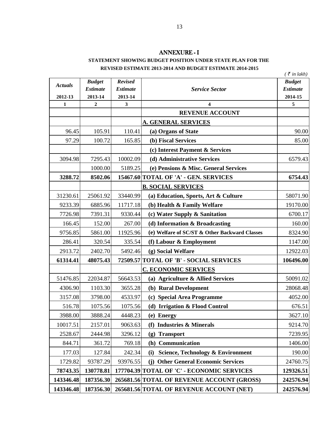# ANNEXURE - I

# **STATEMENT SHOWING BUDGET POSITION UNDER STATE PLAN FOR THE REVISED ESTIMATE 2013-2014 AND BUDGET ESTIMATE 2014-2015**

|                |                 |                 |                                                     | $\zeta$ <i>( <math>\bar{\zeta}</math> in lakh)</i> |
|----------------|-----------------|-----------------|-----------------------------------------------------|----------------------------------------------------|
| <b>Actuals</b> | <b>Budget</b>   | <b>Revised</b>  |                                                     | <b>Budget</b>                                      |
|                | <b>Estimate</b> | <b>Estimate</b> | <b>Service Sector</b>                               | <b>Estimate</b>                                    |
| 2012-13        | 2013-14         | 2013-14         |                                                     | 2014-15                                            |
| 1              | $\overline{2}$  | $\mathbf{3}$    | $\overline{\mathbf{4}}$                             | 5                                                  |
|                |                 |                 | <b>REVENUE ACCOUNT</b>                              |                                                    |
|                |                 |                 | <b>A. GENERAL SERVICES</b>                          |                                                    |
| 96.45          | 105.91          | 110.41          | (a) Organs of State                                 | 90.00                                              |
| 97.29          | 100.72          | 165.85          | (b) Fiscal Services                                 | 85.00                                              |
|                |                 |                 | (c) Interest Payment & Services                     |                                                    |
| 3094.98        | 7295.43         | 10002.09        | (d) Administrative Services                         | 6579.43                                            |
|                | 1000.00         | 5189.25         | (e) Pensions & Misc. General Services               |                                                    |
| 3288.72        | 8502.06         |                 | 15467.60 TOTAL OF 'A' - GEN. SERVICES               | 6754.43                                            |
|                |                 |                 | <b>B. SOCIAL SERVICES</b>                           |                                                    |
| 31230.61       | 25061.92        | 33440.99        | (a) Education, Sports, Art & Culture                | 58071.90                                           |
| 9233.39        | 6885.96         | 11717.18        | (b) Health & Family Welfare                         | 19170.00                                           |
| 7726.98        | 7391.31         | 9330.44         | (c) Water Supply & Sanitation                       | 6700.17                                            |
| 166.45         | 152.00          | 267.00          | (d) Information & Broadcasting                      | 160.00                                             |
| 9756.85        | 5861.00         | 11925.96        | (e) Welfare of SC/ST & Other Backward Classes       | 8324.90                                            |
| 286.41         | 320.54          | 335.54          | (f) Labour & Employment                             | 1147.00                                            |
| 2913.72        | 2402.70         | 5492.46         | (g) Social Welfare                                  | 12922.03                                           |
| 61314.41       | 48075.43        |                 | 72509.57 TOTAL OF 'B' - SOCIAL SERVICES             | 106496.00                                          |
|                |                 |                 | <b>C. ECONOMIC SERVICES</b>                         |                                                    |
| 51476.85       | 22034.87        | 56643.53        | (a) Agriculture & Allied Services                   | 50091.02                                           |
| 4306.90        | 1103.30         | 3655.28         | (b) Rural Development                               | 28068.48                                           |
| 3157.08        | 3798.00         | 4533.97         | (c) Special Area Programme                          | 4052.00                                            |
| 516.78         | 1075.56         | 1075.56         | (d) Irrigation & Flood Control                      | 676.51                                             |
| 3988.00        | 3888.24         | 4448.23         | (e) Energy                                          | 3627.10                                            |
| 10017.51       | 2157.01         | 9063.63         | (f) Industries $&$ Minerals                         | 9214.70                                            |
| 2528.67        | 2444.98         | 3296.12         | (g) Transport                                       | 7239.95                                            |
| 844.71         | 361.72          | 769.18          | (h) Communication                                   | 1406.00                                            |
| 177.03         | 127.84          | 242.34          | <b>Science, Technology &amp; Environment</b><br>(i) | 190.00                                             |
| 1729.82        | 93787.29        | 93976.55        | (j) Other General Economic Services                 | 24760.75                                           |
| 78743.35       | 130778.81       |                 | 177704.39 TOTAL OF 'C' - ECONOMIC SERVICES          | 129326.51                                          |
| 143346.48      | 187356.30       |                 | 265681.56 TOTAL OF REVENUE ACCOUNT (GROSS)          | 242576.94                                          |
| 143346.48      | 187356.30       |                 | 265681.56 TOTAL OF REVENUE ACCOUNT (NET)            | 242576.94                                          |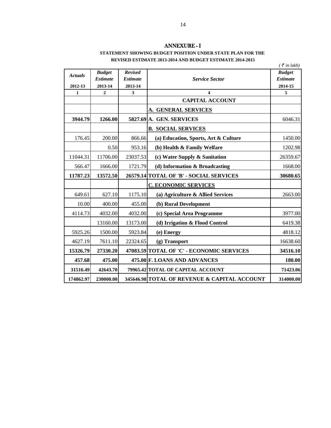# ANNEXURE - I

#### **STATEMENT SHOWING BUDGET POSITION UNDER STATE PLAN FOR THE REVISED ESTIMATE 2013-2014 AND BUDGET ESTIMATE 2014-2015**

|                |                 |                 | REVISED ESTIMATE 2013-2014 AND BUDGET ESTIMATE 2014-2015 | $\zeta$ <i>( <math>\bar{\zeta}</math> in lakh)</i> |
|----------------|-----------------|-----------------|----------------------------------------------------------|----------------------------------------------------|
| <b>Actuals</b> | <b>Budget</b>   | <b>Revised</b>  |                                                          | <b>Budget</b>                                      |
|                | <b>Estimate</b> | <b>Estimate</b> | <b>Service Sector</b>                                    | <b>Estimate</b>                                    |
| 2012-13        | 2013-14         | 2013-14         |                                                          | 2014-15                                            |
| 1              | $\mathbf{2}$    | 3               | $\boldsymbol{\Delta}$                                    | 5                                                  |
|                |                 |                 | <b>CAPITAL ACCOUNT</b>                                   |                                                    |
|                |                 |                 | <b>A. GENERAL SERVICES</b>                               |                                                    |
| 3944.79        | 1266.00         |                 | 5827.69 A. GEN. SERVICES                                 | 6046.31                                            |
|                |                 |                 | <b>B. SOCIAL SERVICES</b>                                |                                                    |
| 176.45         | 200.00          | 866.66          | (a) Education, Sports, Art & Culture                     | 1450.00                                            |
|                | 0.50            | 953.16          | (b) Health & Family Welfare                              | 1202.98                                            |
| 11044.31       | 11706.00        | 23037.53        | (c) Water Supply & Sanitation                            | 26359.67                                           |
| 566.47         | 1666.00         | 1721.79         | (d) Information & Broadcasting                           | 1668.00                                            |
| 11787.23       | 13572.50        |                 | 26579.14 TOTAL OF 'B' - SOCIAL SERVICES                  | 30680.65                                           |
|                |                 |                 | <b>C. ECONOMIC SERVICES</b>                              |                                                    |
| 649.61         | 627.10          | 1175.10         | (a) Agriculture & Allied Services                        | 2663.00                                            |
| 10.00          | 400.00          | 455.00          | (b) Rural Development                                    |                                                    |
| 4114.73        | 4032.00         | 4032.00         | (c) Special Area Programme                               | 3977.00                                            |
|                | 13160.00        | 13173.00        | (d) Irrigation & Flood Control                           | 6419.38                                            |
| 5925.26        | 1500.00         | 5923.84         | (e) Energy                                               | 4818.12                                            |
| 4627.19        | 7611.10         | 22324.65        | (g) Transport                                            | 16638.60                                           |
| 15326.79       | 27330.20        |                 | 47083.59 TOTAL OF 'C' - ECONOMIC SERVICES                | 34516.10                                           |
| 457.68         | 475.00          |                 | 475.00 F. LOANS AND ADVANCES                             | 180.00                                             |
| 31516.49       | 42643.70        |                 | 79965.42 TOTAL OF CAPITAL ACCOUNT                        | 71423.06                                           |
| 174862.97      | 230000.00       |                 | 345646.98 TOTAL OF REVENUE & CAPITAL ACCOUNT             | 314000.00                                          |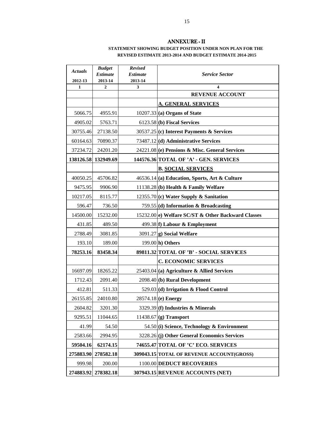# ANNEXURE - II **STATEMENT SHOWING BUDGET POSITION UNDER NON PLAN FOR THE REVISED ESTIMATE 2013-2014 AND BUDGET ESTIMATE 2014-2015**

| <b>Actuals</b> | <b>Budget</b>              | <b>Revised</b>             |                                                    |
|----------------|----------------------------|----------------------------|----------------------------------------------------|
| 2012-13        | <b>Estimate</b><br>2013-14 | <b>Estimate</b><br>2013-14 | <b>Service Sector</b>                              |
| 1              | 2                          | 3                          | 4                                                  |
|                |                            |                            | <b>REVENUE ACCOUNT</b>                             |
|                |                            |                            | <b>A. GENERAL SERVICES</b>                         |
| 5066.75        | 4955.91                    |                            | $10207.33$ (a) Organs of State                     |
| 4905.02        | 5763.71                    |                            | $6123.58$ (b) Fiscal Services                      |
| 30755.46       | 27138.50                   |                            | 30537.25 (c) Interest Payments & Services          |
| 60164.63       | 70890.37                   |                            | $73487.12$ (d) Administrative Services             |
| 37234.72       | 24201.20                   |                            | 24221.08 (e) Pensions & Misc. General Services     |
|                | 138126.58 132949.69        |                            | 144576.36 TOTAL OF 'A' - GEN. SERVICES             |
|                |                            |                            | <b>B. SOCIAL SERVICES</b>                          |
| 40050.25       | 45706.82                   |                            | 46536.14 $(a)$ Education, Sports, Art & Culture    |
| 9475.95        | 9906.90                    |                            | 11138.28 (b) Health & Family Welfare               |
| 10217.05       | 8115.77                    |                            | $12355.70$ (c) Water Supply & Sanitation           |
| 596.47         | 736.50                     |                            | 759.55 (d) Information & Broadcasting              |
| 14500.00       | 15232.00                   |                            | 15232.00 e) Welfare SC/ST & Other Backward Classes |
| 431.85         | 489.50                     |                            | 499.38 f) Labour & Employment                      |
| 2788.49        | 3081.85                    |                            | $3091.27$ g) Social Welfare                        |
| 193.10         | 189.00                     |                            | $199.00$ h) Others                                 |
| 78253.16       | 83458.34                   |                            | 89811.32 TOTAL OF 'B' - SOCIAL SERVICES            |
|                |                            |                            | <b>C. ECONOMIC SERVICES</b>                        |
| 16697.09       | 18265.22                   |                            | $25403.04$ (a) Agriculture & Allied Services       |
| 1712.43        | 2091.40                    |                            | $2098.40$ (b) Rural Development                    |
| 412.81         | 511.33                     |                            | 529.03 (d) Irrigation & Flood Control              |
| 26155.85       | 24010.80                   |                            | 28574.18 (e) Energy                                |
| 2604.82        | 3201.30                    |                            | 3329.39 (f) Industries & Minerals                  |
| 9295.51        | 11044.65                   |                            | $11438.67$ (g) Transport                           |
| 41.99          | 54.50                      |                            | 54.50 (i) Science, Technology & Environment        |
| 2583.66        | 2994.95                    |                            | 3228.26(j) Other General Economics Services        |
| 59504.16       | 62174.15                   |                            | 74655.47 TOTAL OF 'C' ECO. SERVICES                |
| 275883.90      | 278582.18                  |                            | 309043.15 TOTAL OF REVENUE ACCOUNT (GROSS)         |
| 999.98         | 200.00                     |                            | 1100.00 DEDUCT RECOVERIES                          |
| 274883.92      | 278382.18                  |                            | 307943.15 REVENUE ACCOUNTS (NET)                   |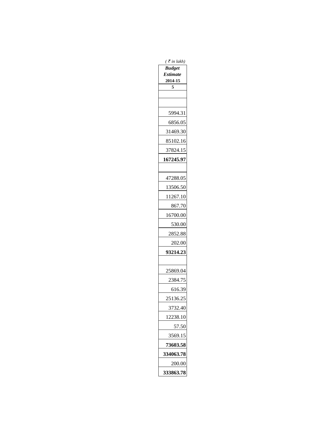| $\left(\frac{\overline{\tau}}{2}$ in lakh) |
|--------------------------------------------|
| <b>Budget</b>                              |
| <b>Estimate</b><br>2014-15                 |
| 5                                          |
|                                            |
|                                            |
| 5994.31                                    |
| 6856.05                                    |
| 31469.30                                   |
| 85102.16                                   |
| 37824.15                                   |
| 167245.97                                  |
|                                            |
| 47288.05                                   |
| 13506.50                                   |
| 11267.10                                   |
| 867.70                                     |
| 16700.00                                   |
| 530.00                                     |
| 2852.88                                    |
| 202.00                                     |
| 93214.23                                   |
|                                            |
| 25869.04                                   |
| 2384.75                                    |
| 616.39                                     |
| 25136.25                                   |
| 3732.40                                    |
| 238.10<br>12                               |
| 57.50                                      |
| 3569.1                                     |
| 3603.5                                     |
| 334063.78                                  |
| 200.00                                     |
| 33863.78                                   |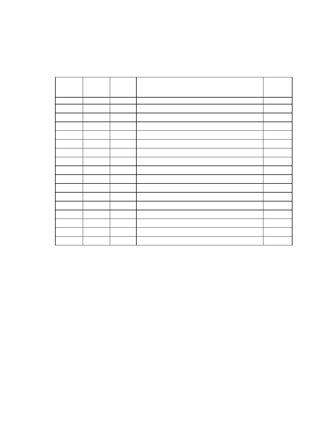# ANNEXURE - II **STATEMENT SHOWING BUDGET POSITION UNDER NON PLAN FOR THE REVISED ESTIMATE 2013-2014 AND BUDGET ESTIMATE 2014-2015**

|                |                 |                 |                                              | $\zeta$ $\bar{\zeta}$ in lakh) |
|----------------|-----------------|-----------------|----------------------------------------------|--------------------------------|
| <b>Actuals</b> | <b>Budget</b>   | <b>Revised</b>  |                                              | <b>Budget</b>                  |
|                | <b>Estimate</b> | <b>Estimate</b> | <b>Service Sector</b>                        | <b>Estimate</b>                |
| 2012-13        | 2013-14         | 2013-14         |                                              | 2014-15                        |
| $\mathbf{1}$   | $\mathbf{2}$    | 3               | 4                                            | 5                              |
|                |                 |                 | <b>CAPITAL ACCOUNT</b>                       |                                |
| 112.00         | 185.00          |                 | 247.07 A. GENL. SERVICES                     | 185.00                         |
|                |                 |                 | C. ECO. SERVICES                             |                                |
| 24034.86       | 17826.60        |                 | $26760.61$ (a) Agri. & Allied Activities     | 17826.60                       |
| 24146.86       | 18011.60        |                 | 27007.68 TOTAL OF CAPITAL ACCOUNT            | 18011.60                       |
|                |                 |                 |                                              |                                |
| 28604.73       | 10472.19        |                 | 60827.88 E. PUBLIC DEBT                      | 26466.05                       |
| 2567.21        | 2645.00         |                 | 5120.20 F. LOANS AND ADVANCES                | 2565.00                        |
| 31171.94       | 13117.19        |                 | 65948.08 TOTAL OF 'E' & 'F'                  | 29031.05                       |
| 55318.80       | 31128.79        |                 | 92955.76 TOTAL - CAPITAL ACCOUNT (GROSS)     | 47042.65                       |
| 14084.17       | 15000.00        |                 | 26760.61 DEDUCT RECOVERIES                   | 17826.60                       |
| 41234.63       | 16128.79        |                 | 66195.15 NET TOTAL - CAPITAL ACCOUNT         | 29216.05                       |
|                |                 |                 |                                              |                                |
| 331202.70      | 309710.97       |                 | 401998.91 TOTAL OF REVENUE & CAPITAL (GROSS) | 381106.43                      |
| 15084.15       | 15200.00        |                 | 27860.61 Deduct Recoveries                   | 18026.60                       |
|                |                 |                 | 316118.55 294510.97 374138.30 NET TOTAL      | 363079.83                      |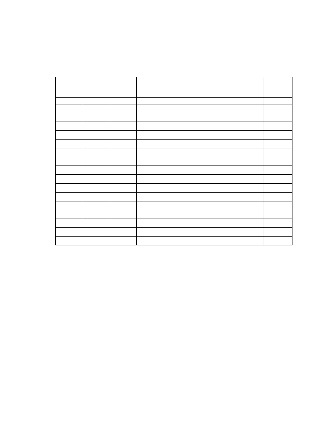# ANNUXURE - III **FUNDING OF THE STATE**

|                |                 |                 |                                            | $\zeta$ in lakh) |
|----------------|-----------------|-----------------|--------------------------------------------|------------------|
| <b>Actuals</b> | <b>Budget</b>   | <b>Revised</b>  |                                            | <b>Budget</b>    |
|                | <b>Estimate</b> | <b>Estimate</b> | <b>Service Sector</b>                      | <b>Estimate</b>  |
| 2012-13        | 2013-14         | 2013-14         |                                            | 2014-15          |
| 1              | $\overline{2}$  | 3               | $\overline{\mathbf{4}}$                    | $\overline{5}$   |
|                |                 |                 |                                            |                  |
| 174862.97      | 230000.00       |                 | 345646.98 I. PLAN OUTLAY                   | 314000.00        |
| 143346.48      | 187356.30       | 265681.56       | 1. Revenue Account                         | 242576.94        |
| 31516.49       | 42643.70        | 79965.42        | 2. Capital Account                         | 71423.06         |
| 31058.81       | 42168.70        | 79490.42        | (a) Capital Outlay                         | 71243.06         |
|                |                 |                 | (b) Public Debt                            |                  |
| 457.68         | 475.00          | 475.00          | (c) Loans & Advances                       | 180.00           |
|                |                 |                 |                                            |                  |
| 44503.96       | 42476.83        |                 | 38524.22 II. STATES RESOURCES              | 42925.66         |
| -489.39        | $-635.17$       | $-690.93$       | 1. Balance from Current Revenue            | $-781.34$        |
| 18575.00       | 29912.00        | 26005.80        | 2. Market Loan                             | 28107.00         |
| 4280.26        | 6100.00         | 5621.85         | 4. Negotiated and Other Loans              | 6000.00          |
| 19633.09       | 6100.00         | 6100.00         | 5. Provident Fund (Net)                    | 8100.00          |
| 2505.00        | 1000.00         | 1487.50         | 6. NSSF                                    | 1500.00          |
| 225777.07      | 246641.86       |                 | 300367.86 III. CENTRAL ASSISTANCE          | 320629.00        |
| 225767.15      | 245107.86       | 300352.17       | 1. Grants (Plan Grants)                    | 318524.00        |
| 9.92           | 1534.00         | 15.69           | 2. Loans (Incl. REC for MNP)               | 2105.00          |
|                |                 |                 |                                            |                  |
| 270281.03      | 289118.69       |                 | 338892.08 IV. AGGREGATE RESOURCES - II+III | 363554.66        |
|                |                 |                 |                                            |                  |
| $-44625.46$    | 20709.98        |                 | $-146031.22$ V. SURPLUS(+)/DEFICIT (-)     | $-37421.25$      |
|                |                 |                 |                                            |                  |
|                |                 |                 | <b>DETAILS OF PLAN OUTLAY</b>              |                  |
| 174862.97      | 230000.00       | 345646.98       | 1. Normal Plan                             | 314000.00        |
| 22861.53       |                 | 12183.42        | 3. NEC/NLCPR                               |                  |
| 29432.94       | 22.86           | 45752.17        | 4. CSS                                     |                  |
| 227157.44      | 230022.86       | 403582.57 TOTAL |                                            | 314000.00        |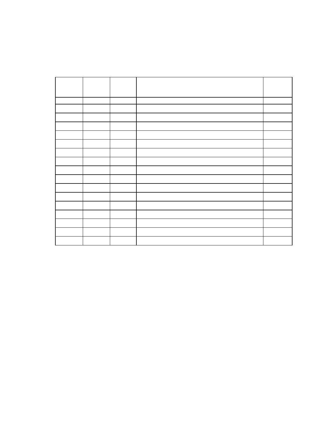# ANNEXURE - IV **PLAN OUTLAY AND CENTRAL ASSISTANCE**

|                |                 |                        |                                                    | $\zeta$ <i>( <math>\bar{\zeta}</math> in lakhs)</i> |
|----------------|-----------------|------------------------|----------------------------------------------------|-----------------------------------------------------|
| <b>Actuals</b> | <b>Budget</b>   | <b>Revised</b>         |                                                    | <b>Budget</b>                                       |
|                | <b>Estimate</b> | <i><b>Estimate</b></i> | <b>Service Sector</b>                              | <b>Estimate</b>                                     |
| 2012-13        | 2013-14         | 2013-14                |                                                    | 2014-15                                             |
| 1              | $\mathbf{2}$    | 3                      | 4                                                  | 5                                                   |
|                |                 |                        | I. PLAN OUTLAY                                     |                                                     |
|                |                 |                        | <b>A. STATE PLAN</b>                               |                                                     |
| 143346.48      | 187356.30       |                        | $265681.56(1)$ Revenue Account                     | 242576.94                                           |
| 31516.49       | 42643.70        |                        | 79965.42 $(2)$ Capital Account                     | 71423.06                                            |
| 31058.81       | 42168.70        | 79490.42               | (a) Capital Outlay                                 | 71243.06                                            |
| 457.68         | 475.00          | 475.00                 | (c) Loans & Advances                               | 180.00                                              |
| 174862.97      | 230000.00       |                        | 345646.98 TOTAL OF 'A':                            | 314000.00                                           |
|                |                 |                        | <b>B. CENTRALLY SPONSORED SCHEMES</b>              |                                                     |
| 29432.94       | 22.86           |                        | $45752.17(1)$ Revenue Account                      |                                                     |
|                |                 |                        | (2) Capital Account                                |                                                     |
|                |                 |                        | (a) Capital Outlay                                 |                                                     |
|                |                 |                        | (b) Loans & Advances                               |                                                     |
| 29432.94       | 22.86           |                        | 45752.17 TOTAL OF 'B':                             |                                                     |
|                |                 |                        | C. N.E.C/NLCPR SCHEMES                             |                                                     |
| 22861.53       |                 |                        | $12183.42(1)$ Revenue Account                      |                                                     |
|                |                 |                        | (2) Capital Account                                |                                                     |
| 22861.53       |                 |                        | 12183.42 TOTAL OF 'C'                              |                                                     |
| 227157.44      | 230022.86       |                        | 403582.57 GRAND TOTAL OF A+B+C                     | 314000.00                                           |
|                |                 |                        | <b>III. CENTRAL ASSISTANCE</b>                     |                                                     |
|                |                 |                        | A. GRANT FOR STATE PLAN SCHEMES                    |                                                     |
| 186559.83      | 245085.00       |                        | $242336.00(1)$ Grants for State Plan Schemes       | 232518.00                                           |
| 186559.83      | 245085.00       |                        | 242336.00 TOTAL OF 'A':                            | 232518.00                                           |
|                |                 |                        | <b>B. CENTRAL PLAN SCHEMES</b>                     |                                                     |
| 1456.56        |                 |                        | $(1)$ Grants                                       |                                                     |
| 1456.56        |                 |                        | <b>TOTAL OF 'B':</b>                               |                                                     |
|                |                 |                        | <b>C. CENTRALLY SPONSORED SCHEMES</b>              |                                                     |
| 29432.94       | 22.86           |                        | $45752.17(1)$ Grants                               |                                                     |
| 29432.94       | 22.86           |                        | 45752.17 TOTAL OF 'B':                             |                                                     |
|                |                 |                        | <b>D. SPECIAL PLAN SCHEMES</b>                     |                                                     |
| 22861.53       |                 |                        | 12183.42(1) Schemes of North Eastern Council/NLCPR |                                                     |
| 22861.53       |                 |                        | 12183.42 TOTAL OF 'D':                             |                                                     |
|                |                 |                        | E. PUBLIC DEBT                                     |                                                     |
| 42018.26       | 37013.00        |                        | $107135.59(1)$ Internal Debt of the State Govt.    | 45607.00                                            |
|                |                 |                        | $(2)$ Loans                                        |                                                     |
| 9.92           | 1534.00         | 15.69                  | a) Block Loan                                      | 2105.00                                             |
|                |                 |                        | b) Other Loans                                     |                                                     |
| 42028.18       | 38547.00        |                        | 107151.28 TOTAL OF 'E':                            | 47712.00                                            |
| 280882.48      | 283654.86       |                        | 407422.87 TOTAL OF (A+B+C+D+E)                     | 280230.00                                           |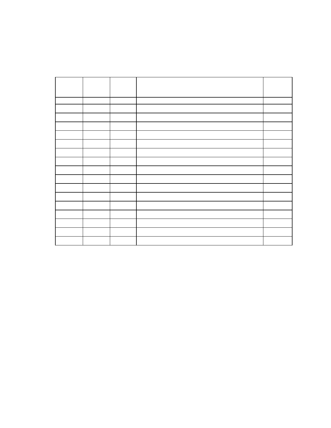# ANNEXURE - V **NET FLOW OF CENTRAL GOVERNMENT**

 $($   $\bar{\tau}$  *in lakhs* $)$ 

| <b>Actuals</b> | <b>Budget</b>   | Revised         |                                                                | <b>Budget</b>   |
|----------------|-----------------|-----------------|----------------------------------------------------------------|-----------------|
|                | <b>Estimate</b> | <b>Estimate</b> | <b>Service Sector</b>                                          | <b>Estimate</b> |
| 2012-13        | 2013-14         | 2013-14         |                                                                | 2014-15         |
| 1              |                 | 3               | 4                                                              | 5               |
|                |                 |                 | I. INFLOW<br>A. UNDER FINANCE COMMISSION AWARD                 |                 |
| 78596.00       | 93566.00        |                 | 85828.00 1) Share Taxes (Devolution of Central Taxes & Duties) | 103085.00       |
| 28236.00       | 32391.00        | 28862.00        | (i) Corporation Tax                                            | 34851.00        |
| 16904.00       | 20050.00        | 19005.00        | (ii) Taxes on Income other than Corp. Tax                      | 22971.00        |
|                |                 |                 | (iii) Other Tax on Income & Expenditure                        |                 |
| 48.00          | 81.00           | 79.00           | (iv) Taxes on Wealth                                           | 81.00           |
| 13062.00       | 15122.00        | 14003.00        | (v) Customs                                                    | 16165.00        |
| 8877.00        | 10647.00        | 9890.00         | (vi) Union Excise Duties                                       | 10699.00        |
| 11469.00       | 15275.00        | 13989.00        | (vii) Service Tax                                              | 18318.00        |
|                |                 |                 | (viii) Other Tax & Duties on Comm. & Serv.                     |                 |
|                |                 |                 | (ix) Share of Central Tax                                      |                 |
| 98791.00       | 101997.00       |                 | $103629.58$ (2) Grants-in-aids                                 | 94197.00        |
| 98791.00       | 101997.00       | 103629.58       | (i) Gap Grants (under proviso to Article $275(1)$ )            | 94197.00        |
|                |                 |                 | (ii) Local Bodies                                              |                 |
|                |                 |                 | (iii) Other Receipt                                            |                 |
| 177387.00      | 195563.00       |                 | 189457.58 TOTAL OF 'A' (1+2)                                   | 197282.00       |
|                |                 |                 | <b>B. ASSISTANCE ON PLAN ACCOUNT</b>                           |                 |
| 174862.95      | 230000.00       |                 | 345646.98 1) State Plan                                        | 314000.00       |
| 174405.28      | 229525.00       | 345171.98       | (i) Grants for State Plan Schemes                              | 313820.00       |
| 457.67         | 475.00          | 475.00          | (ii) Loans                                                     | 180.00          |
| 29432.94       | 22.86           | 45752.17        | 2) Centrally Sponsored Schemes                                 |                 |
| 29432.94       | 22.86           | 45752.17        | (i) Grants                                                     |                 |
|                |                 |                 | (ii) Loans                                                     |                 |
|                |                 |                 | 3) Central Plan Schemes                                        |                 |
|                |                 |                 | (i) Grants                                                     |                 |
|                |                 |                 | 4) N.E.C/NLCPR Schemes                                         |                 |
| 22861.53       |                 | 12183.42        | (i) Grants                                                     |                 |
| 42028.18       |                 |                 | 38547.00 107151.28 5) Public Debt                              | 47712.00        |
| 9.92           | 1534.00         | 15.69           | (i) Block Loans                                                | 2105.00         |
| 42018.26       | 37013.00        | 107135.59       | (ii) Others                                                    | 45607.00        |
| 246324.07      | 268569.86       |                 | 498550.43 TOTAL OF 'B'                                         | 361712.00       |
|                |                 |                 | C. ANY OTHER ASSISTANCE                                        |                 |
| 16658.00       | 1.00            | 74020.44        | 1) Ways & Means Advances from the RBI                          | 10000.00        |
| 2505.00        | 1000.00         | 1487.50         | 2) Special Securities issued to NSSF of the Central Govt.      | 1500.00         |
| 19163.00       | 1001.00         |                 | <b>75507.94 TOTAL OF 'C'</b>                                   | 11500.00        |
| 442874.07      | 465133.86       |                 | 763515.95 TOTAL OF I (A+B+C)                                   | 570494.00       |
|                |                 |                 | II. OUT FLOW                                                   |                 |
| 28815.42       | 24848.50        | 28247.25        | 1) Interest Payment                                            | 28977.30        |
| 1940.04        | 2290.00         | 2290.00         | 2) Repayment of Loans                                          | 2492.00         |
| 30755.46       | 27138.50        |                 | 30537.25 TOTAL OF II                                           | 31469.30        |
| 442874.07      | 465133.86       |                 | 763515.95 NET FLOW (I - II)                                    | 570494.00       |